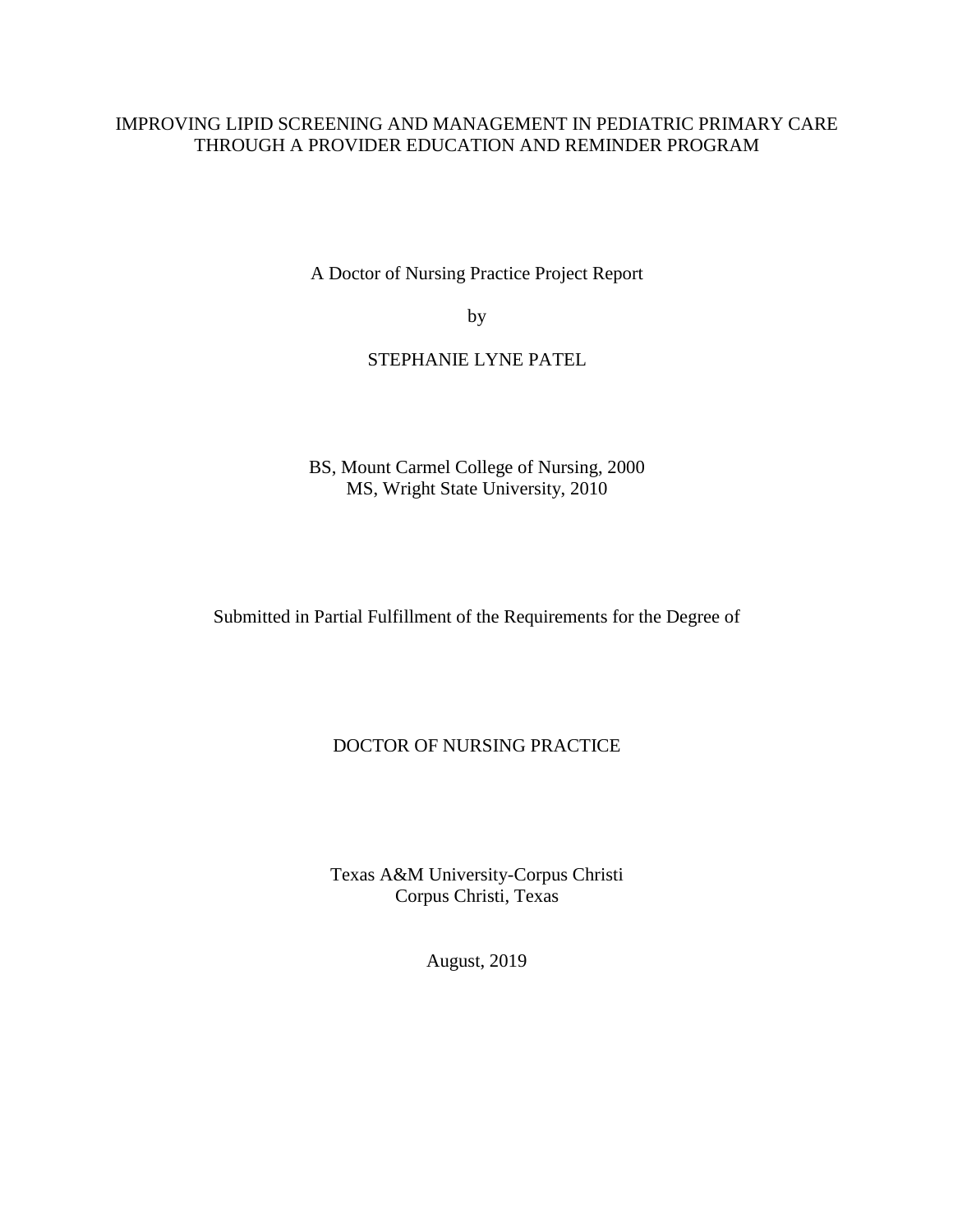### IMPROVING LIPID SCREENING AND MANAGEMENT IN PEDIATRIC PRIMARY CARE THROUGH A PROVIDER EDUCATION AND REMINDER PROGRAM

A Doctor of Nursing Practice Project Report

by

### STEPHANIE LYNE PATEL

BS, Mount Carmel College of Nursing, 2000 MS, Wright State University, 2010

Submitted in Partial Fulfillment of the Requirements for the Degree of

### DOCTOR OF NURSING PRACTICE

Texas A&M University-Corpus Christi Corpus Christi, Texas

August, 2019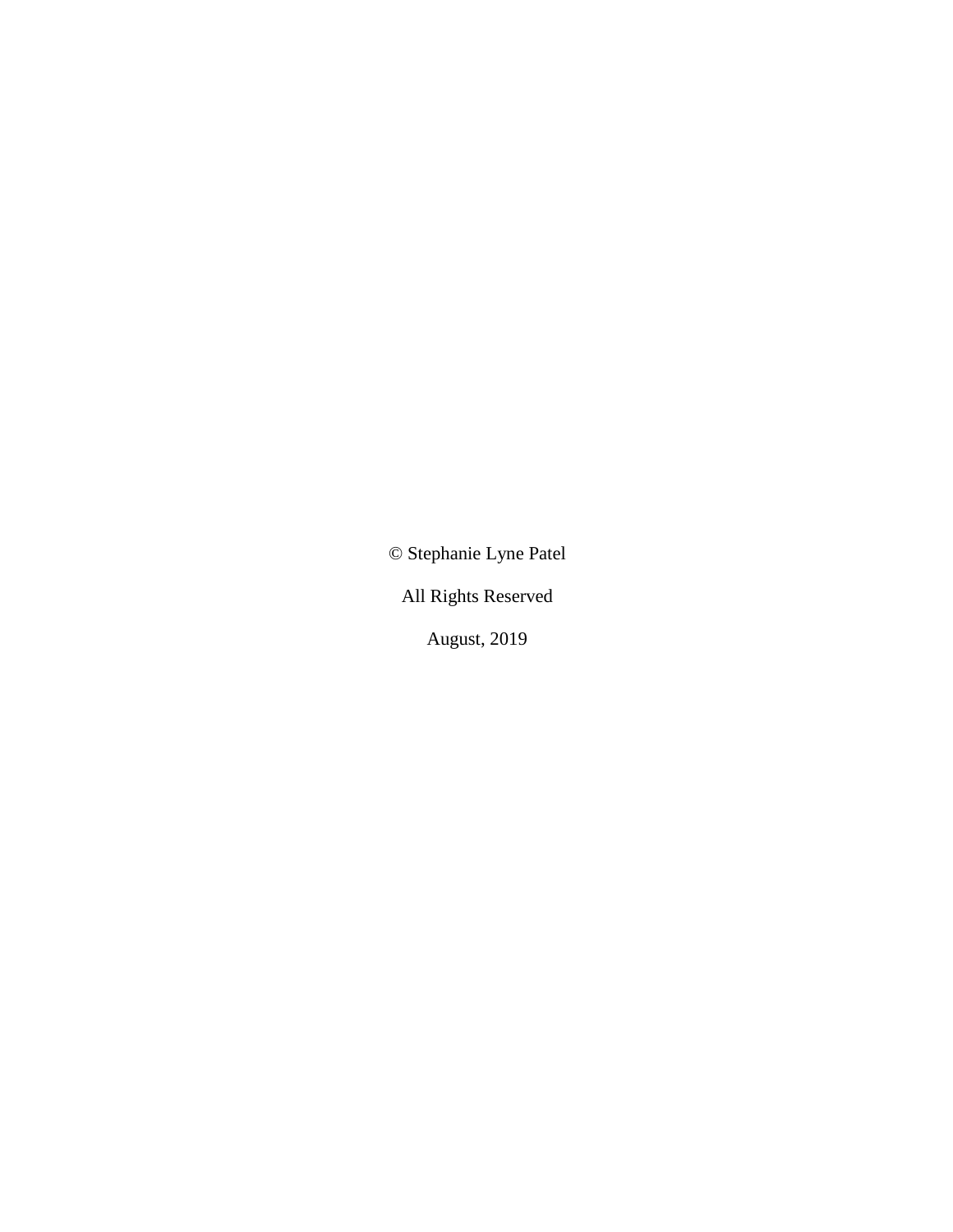© Stephanie Lyne Patel

All Rights Reserved

August, 2019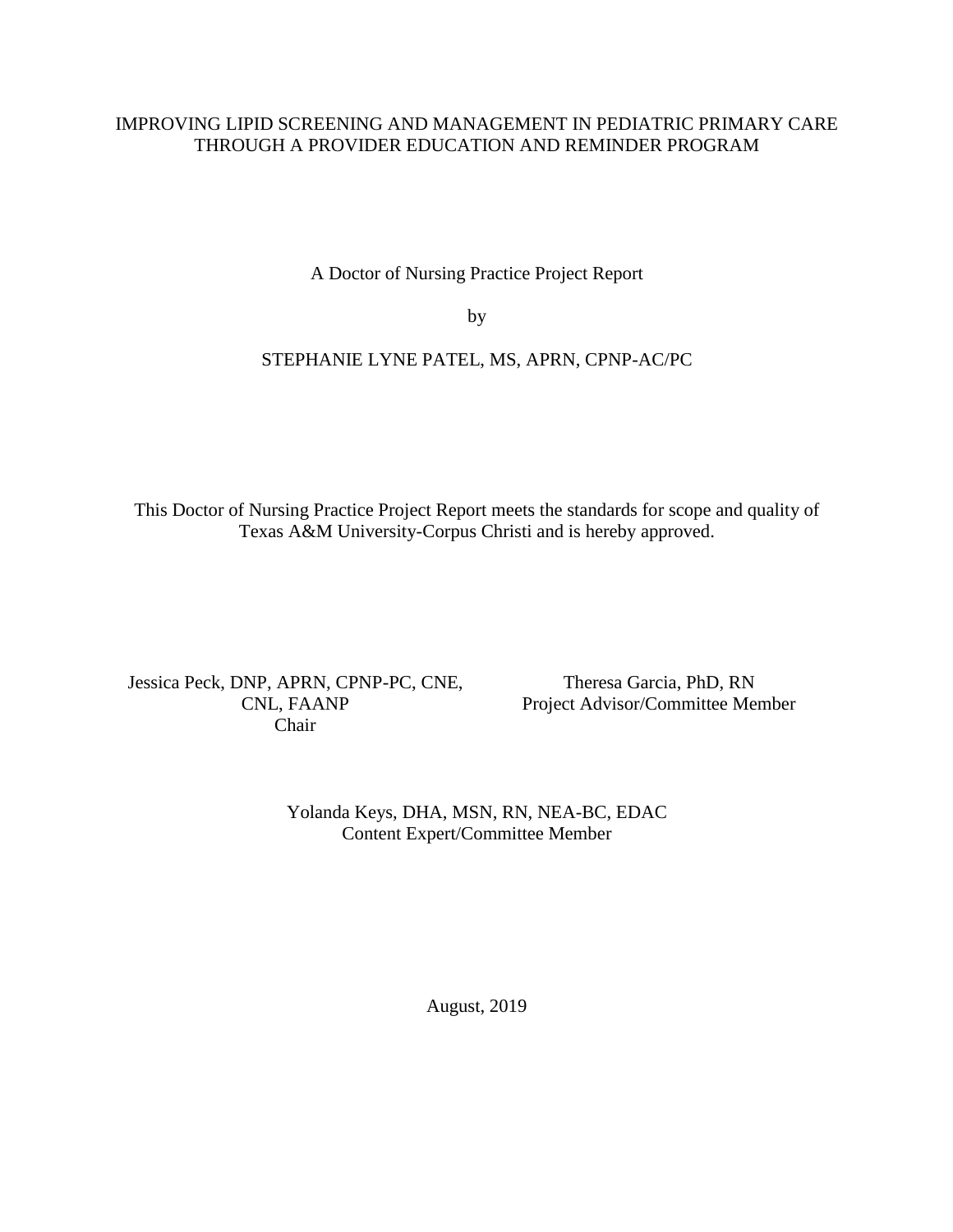### IMPROVING LIPID SCREENING AND MANAGEMENT IN PEDIATRIC PRIMARY CARE THROUGH A PROVIDER EDUCATION AND REMINDER PROGRAM

A Doctor of Nursing Practice Project Report

by

### STEPHANIE LYNE PATEL, MS, APRN, CPNP-AC/PC

This Doctor of Nursing Practice Project Report meets the standards for scope and quality of Texas A&M University-Corpus Christi and is hereby approved.

Jessica Peck, DNP, APRN, CPNP-PC, CNE, CNL, FAANP Chair

Theresa Garcia, PhD, RN Project Advisor/Committee Member

Yolanda Keys, DHA, MSN, RN, NEA-BC, EDAC Content Expert/Committee Member

August, 2019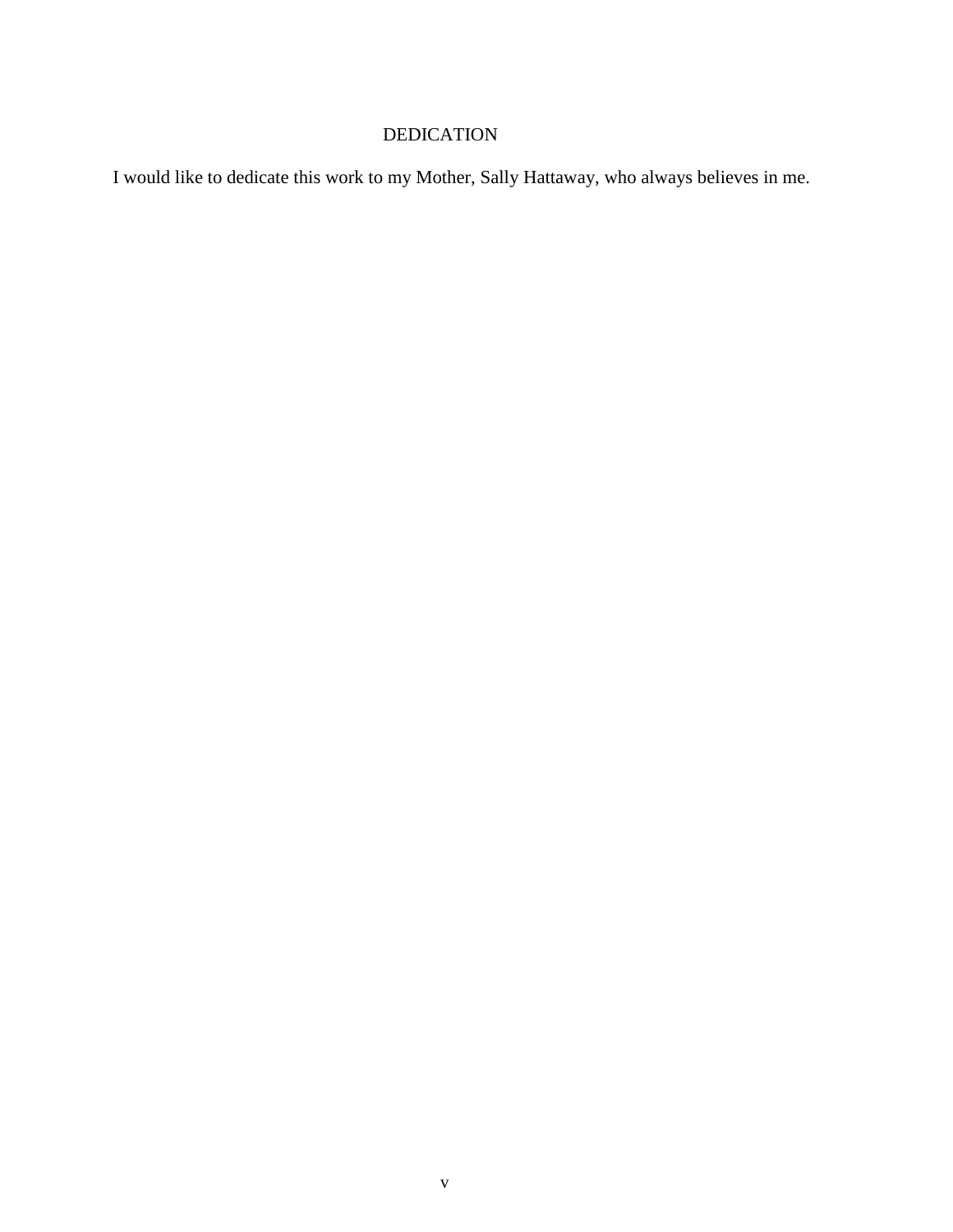# DEDICATION

I would like to dedicate this work to my Mother, Sally Hattaway, who always believes in me.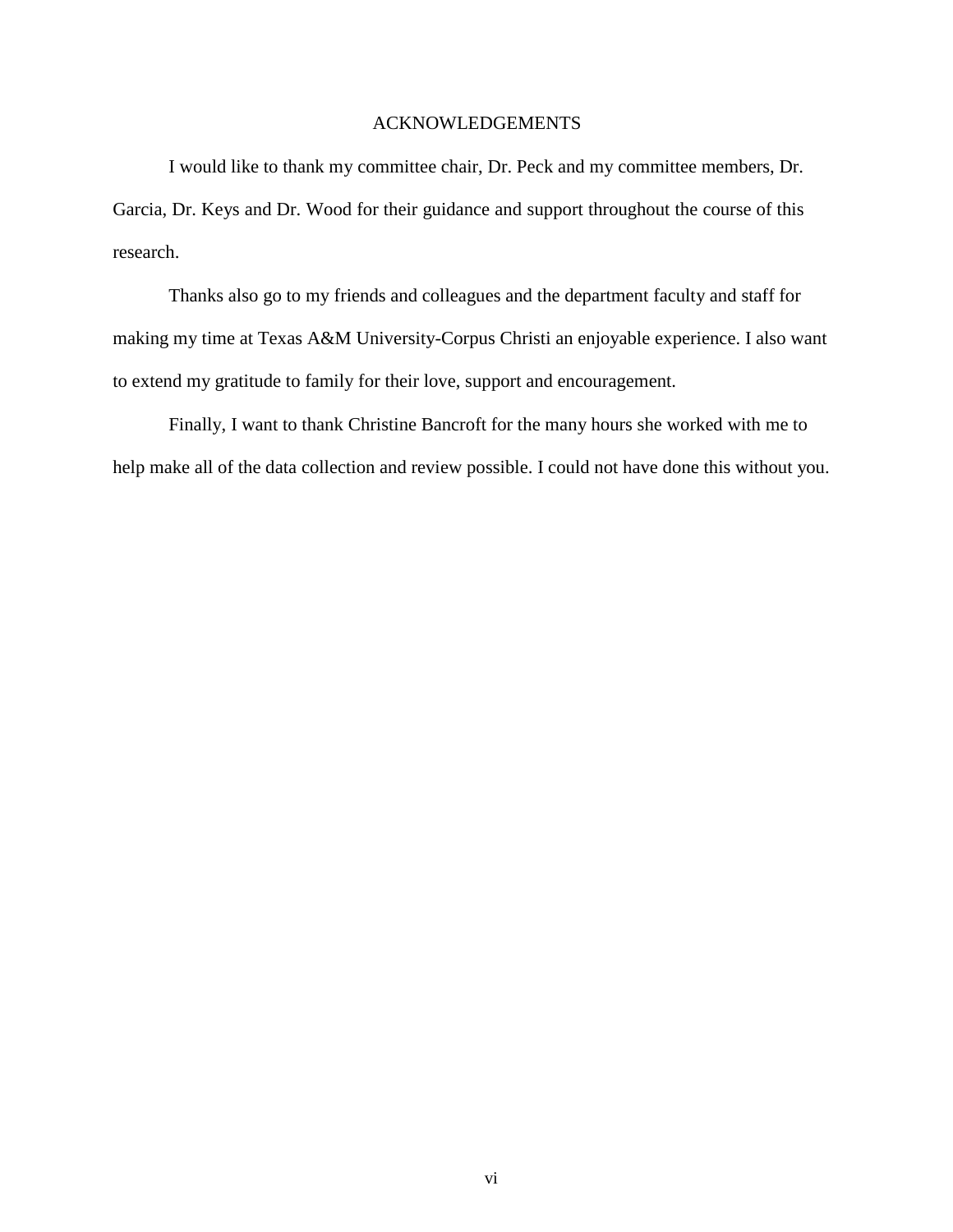### ACKNOWLEDGEMENTS

I would like to thank my committee chair, Dr. Peck and my committee members, Dr. Garcia, Dr. Keys and Dr. Wood for their guidance and support throughout the course of this research.

Thanks also go to my friends and colleagues and the department faculty and staff for making my time at Texas A&M University-Corpus Christi an enjoyable experience. I also want to extend my gratitude to family for their love, support and encouragement.

Finally, I want to thank Christine Bancroft for the many hours she worked with me to help make all of the data collection and review possible. I could not have done this without you.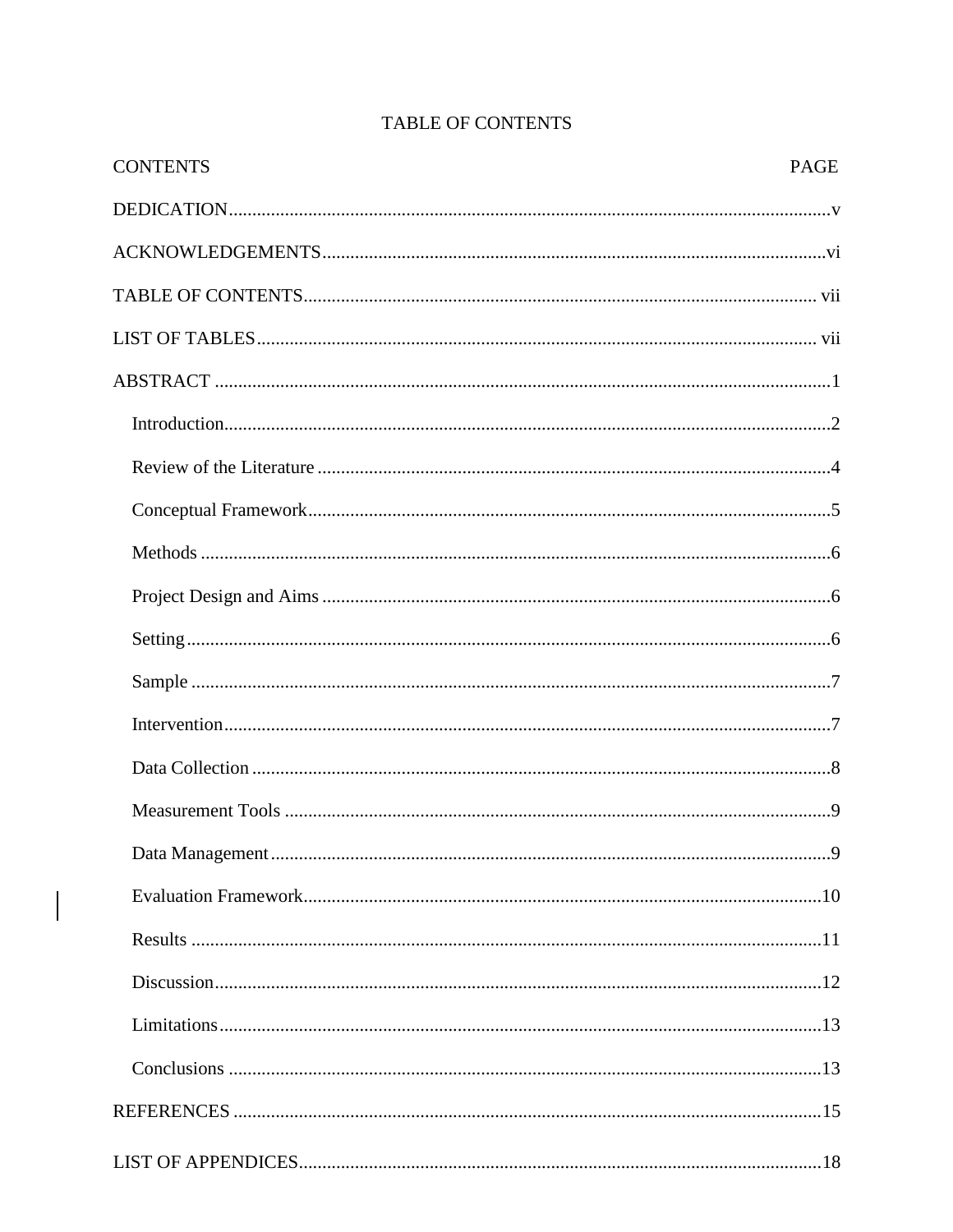| <b>CONTENTS</b> | <b>PAGE</b> |
|-----------------|-------------|
|                 |             |
|                 |             |
|                 |             |
|                 |             |
|                 |             |
|                 |             |
|                 |             |
|                 |             |
|                 |             |
|                 |             |
|                 |             |
|                 |             |
|                 |             |
|                 |             |
|                 |             |
|                 |             |
|                 |             |
|                 |             |
|                 |             |
|                 |             |
|                 |             |
|                 |             |
|                 |             |

# TABLE OF CONTENTS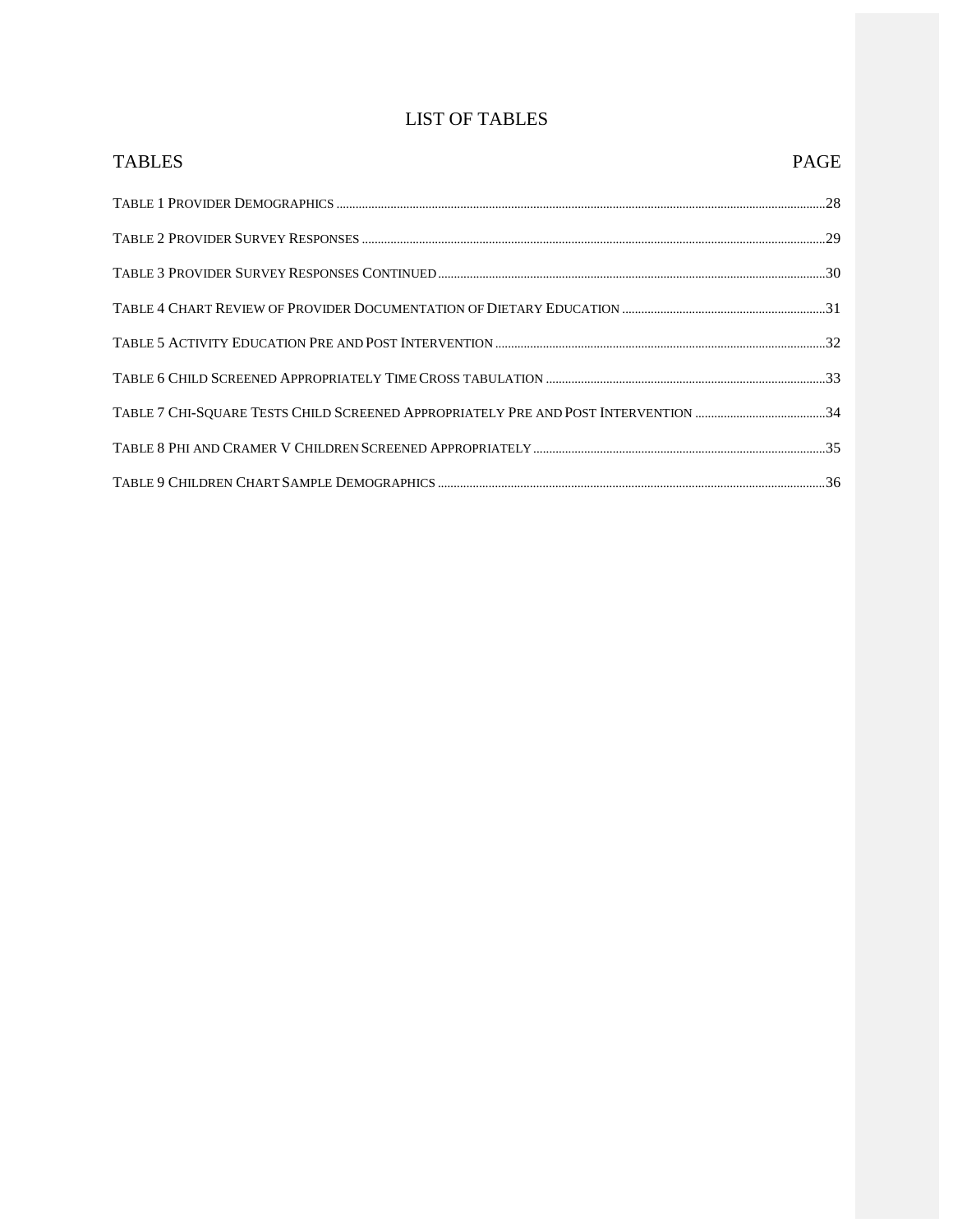# LIST OF TABLES

| <b>TABLES</b> | <b>PAGE</b> |
|---------------|-------------|
|               |             |
|               |             |
|               |             |
|               |             |
|               |             |
|               |             |
|               |             |
|               |             |
|               |             |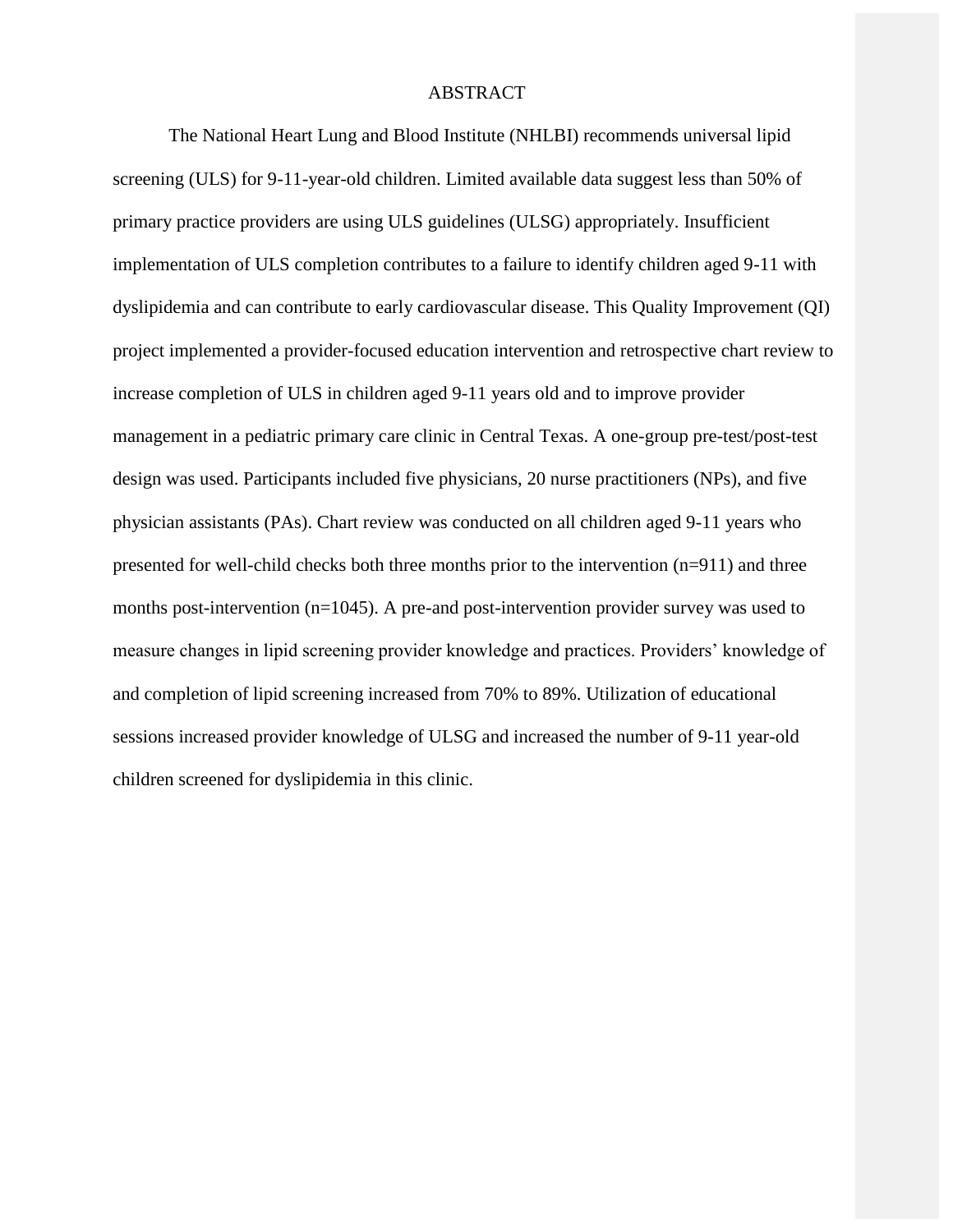#### ABSTRACT

The National Heart Lung and Blood Institute (NHLBI) recommends universal lipid screening (ULS) for 9-11-year-old children. Limited available data suggest less than 50% of primary practice providers are using ULS guidelines (ULSG) appropriately. Insufficient implementation of ULS completion contributes to a failure to identify children aged 9-11 with dyslipidemia and can contribute to early cardiovascular disease. This Quality Improvement (QI) project implemented a provider-focused education intervention and retrospective chart review to increase completion of ULS in children aged 9-11 years old and to improve provider management in a pediatric primary care clinic in Central Texas. A one-group pre-test/post-test design was used. Participants included five physicians, 20 nurse practitioners (NPs), and five physician assistants (PAs). Chart review was conducted on all children aged 9-11 years who presented for well-child checks both three months prior to the intervention (n=911) and three months post-intervention (n=1045). A pre-and post-intervention provider survey was used to measure changes in lipid screening provider knowledge and practices. Providers' knowledge of and completion of lipid screening increased from 70% to 89%. Utilization of educational sessions increased provider knowledge of ULSG and increased the number of 9-11 year-old children screened for dyslipidemia in this clinic.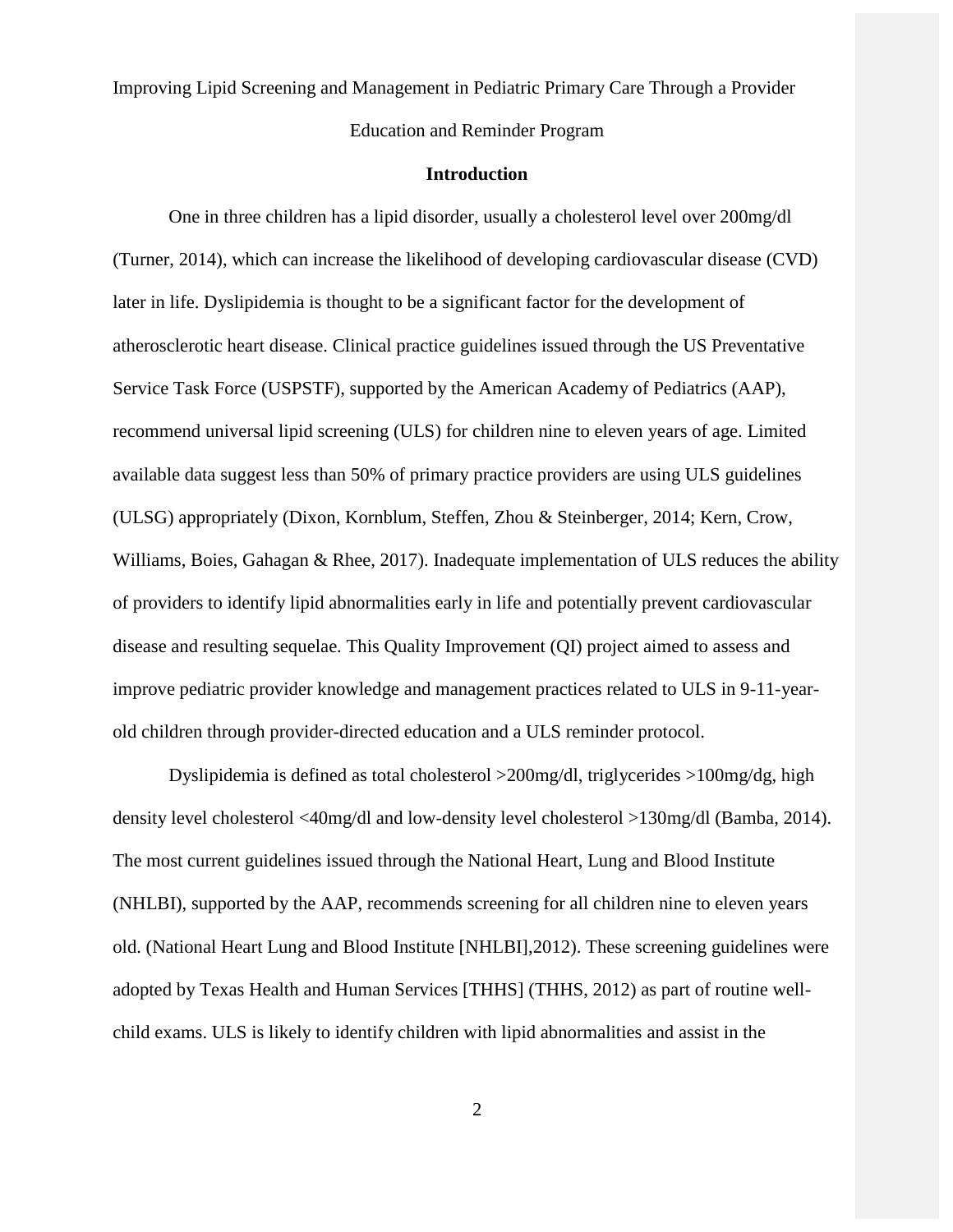Improving Lipid Screening and Management in Pediatric Primary Care Through a Provider Education and Reminder Program

#### **Introduction**

<span id="page-8-0"></span>One in three children has a lipid disorder, usually a cholesterol level over 200mg/dl (Turner, 2014), which can increase the likelihood of developing cardiovascular disease (CVD) later in life. Dyslipidemia is thought to be a significant factor for the development of atherosclerotic heart disease. Clinical practice guidelines issued through the US Preventative Service Task Force (USPSTF), supported by the American Academy of Pediatrics (AAP), recommend universal lipid screening (ULS) for children nine to eleven years of age. Limited available data suggest less than 50% of primary practice providers are using ULS guidelines (ULSG) appropriately (Dixon, Kornblum, Steffen, Zhou & Steinberger, 2014; Kern, Crow, Williams, Boies, Gahagan & Rhee, 2017). Inadequate implementation of ULS reduces the ability of providers to identify lipid abnormalities early in life and potentially prevent cardiovascular disease and resulting sequelae. This Quality Improvement (QI) project aimed to assess and improve pediatric provider knowledge and management practices related to ULS in 9-11-yearold children through provider-directed education and a ULS reminder protocol.

Dyslipidemia is defined as total cholesterol >200mg/dl, triglycerides >100mg/dg, high density level cholesterol <40mg/dl and low-density level cholesterol >130mg/dl (Bamba, 2014). The most current guidelines issued through the National Heart, Lung and Blood Institute (NHLBI), supported by the AAP, recommends screening for all children nine to eleven years old. (National Heart Lung and Blood Institute [NHLBI],2012). These screening guidelines were adopted by Texas Health and Human Services [THHS] (THHS, 2012) as part of routine wellchild exams. ULS is likely to identify children with lipid abnormalities and assist in the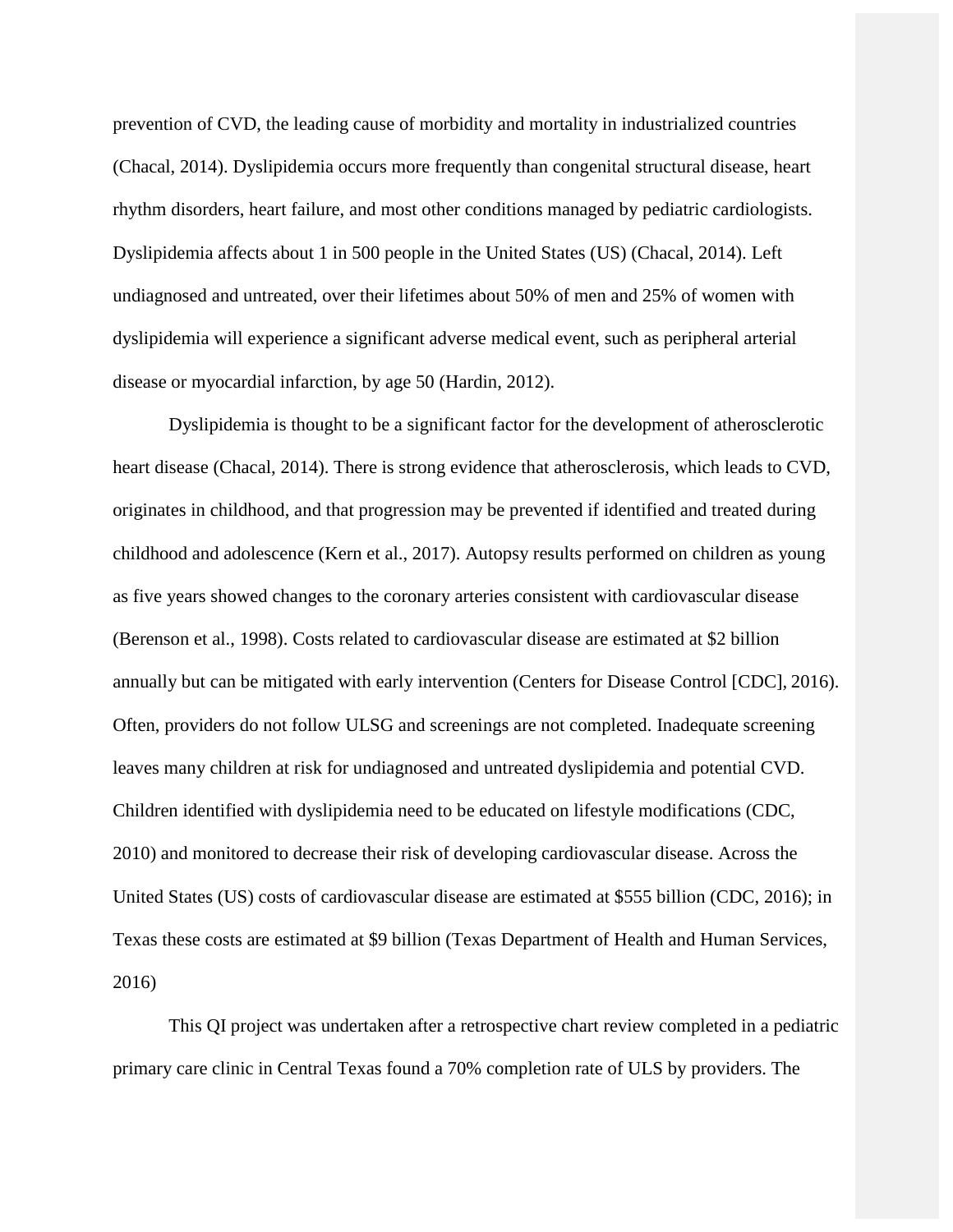prevention of CVD, the leading cause of morbidity and mortality in industrialized countries (Chacal, 2014). Dyslipidemia occurs more frequently than congenital structural disease, heart rhythm disorders, heart failure, and most other conditions managed by pediatric cardiologists. Dyslipidemia affects about 1 in 500 people in the United States (US) (Chacal, 2014). Left undiagnosed and untreated, over their lifetimes about 50% of men and 25% of women with dyslipidemia will experience a significant adverse medical event, such as peripheral arterial disease or myocardial infarction, by age 50 (Hardin, 2012).

Dyslipidemia is thought to be a significant factor for the development of atherosclerotic heart disease (Chacal, 2014). There is strong evidence that atherosclerosis, which leads to CVD, originates in childhood, and that progression may be prevented if identified and treated during childhood and adolescence (Kern et al., 2017). Autopsy results performed on children as young as five years showed changes to the coronary arteries consistent with cardiovascular disease (Berenson et al., 1998). Costs related to cardiovascular disease are estimated at \$2 billion annually but can be mitigated with early intervention (Centers for Disease Control [CDC], 2016). Often, providers do not follow ULSG and screenings are not completed. Inadequate screening leaves many children at risk for undiagnosed and untreated dyslipidemia and potential CVD. Children identified with dyslipidemia need to be educated on lifestyle modifications (CDC, 2010) and monitored to decrease their risk of developing cardiovascular disease. Across the United States (US) costs of cardiovascular disease are estimated at \$555 billion (CDC, 2016); in Texas these costs are estimated at \$9 billion (Texas Department of Health and Human Services, 2016)

This QI project was undertaken after a retrospective chart review completed in a pediatric primary care clinic in Central Texas found a 70% completion rate of ULS by providers. The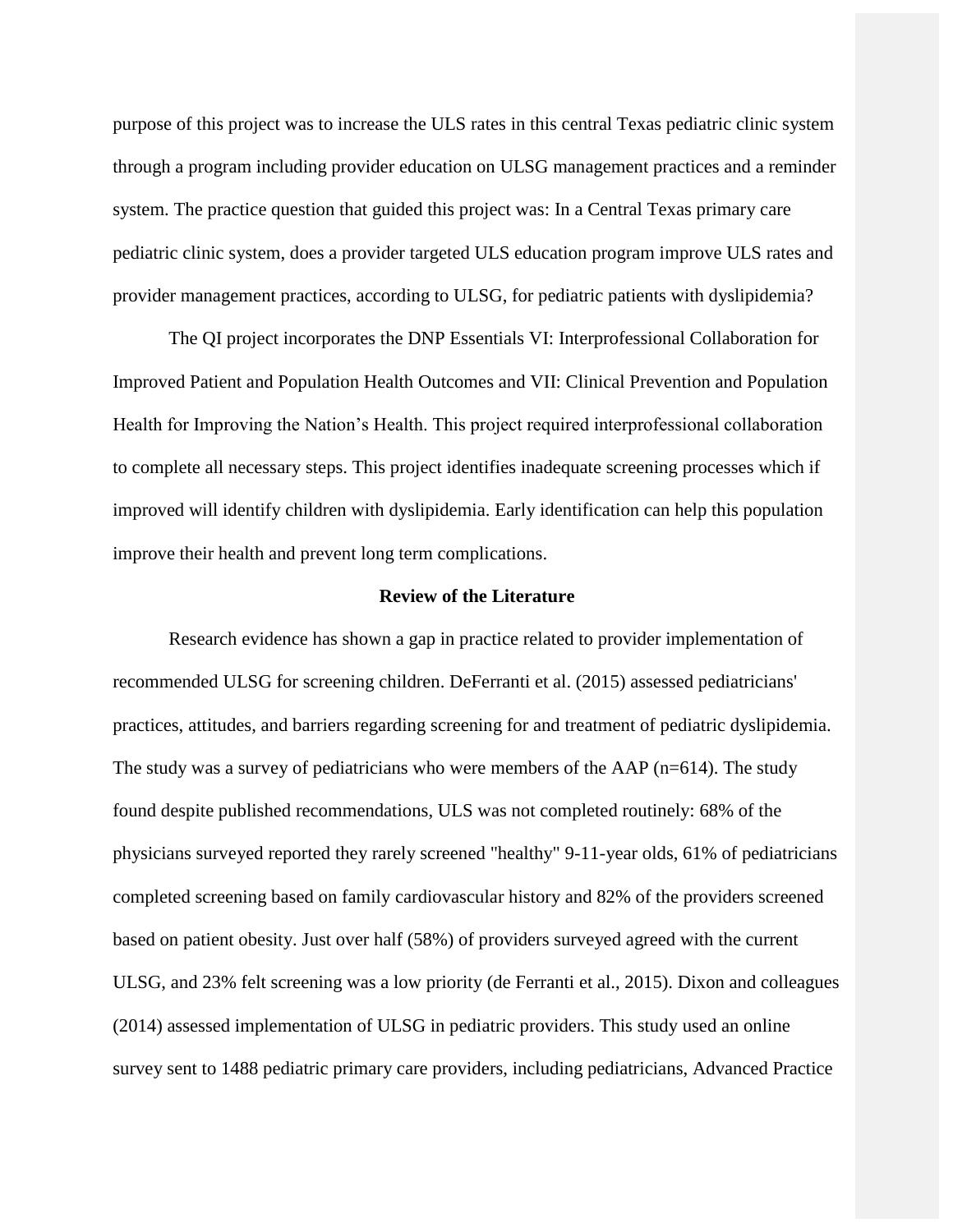purpose of this project was to increase the ULS rates in this central Texas pediatric clinic system through a program including provider education on ULSG management practices and a reminder system. The practice question that guided this project was: In a Central Texas primary care pediatric clinic system, does a provider targeted ULS education program improve ULS rates and provider management practices, according to ULSG, for pediatric patients with dyslipidemia?

The QI project incorporates the DNP Essentials VI: Interprofessional Collaboration for Improved Patient and Population Health Outcomes and VII: Clinical Prevention and Population Health for Improving the Nation's Health. This project required interprofessional collaboration to complete all necessary steps. This project identifies inadequate screening processes which if improved will identify children with dyslipidemia. Early identification can help this population improve their health and prevent long term complications.

#### **Review of the Literature**

<span id="page-10-0"></span>Research evidence has shown a gap in practice related to provider implementation of recommended ULSG for screening children. DeFerranti et al. (2015) assessed pediatricians' practices, attitudes, and barriers regarding screening for and treatment of pediatric dyslipidemia. The study was a survey of pediatricians who were members of the AAP (n=614). The study found despite published recommendations, ULS was not completed routinely: 68% of the physicians surveyed reported they rarely screened "healthy" 9-11-year olds, 61% of pediatricians completed screening based on family cardiovascular history and 82% of the providers screened based on patient obesity. Just over half (58%) of providers surveyed agreed with the current ULSG, and 23% felt screening was a low priority (de Ferranti et al., 2015). Dixon and colleagues (2014) assessed implementation of ULSG in pediatric providers. This study used an online survey sent to 1488 pediatric primary care providers, including pediatricians, Advanced Practice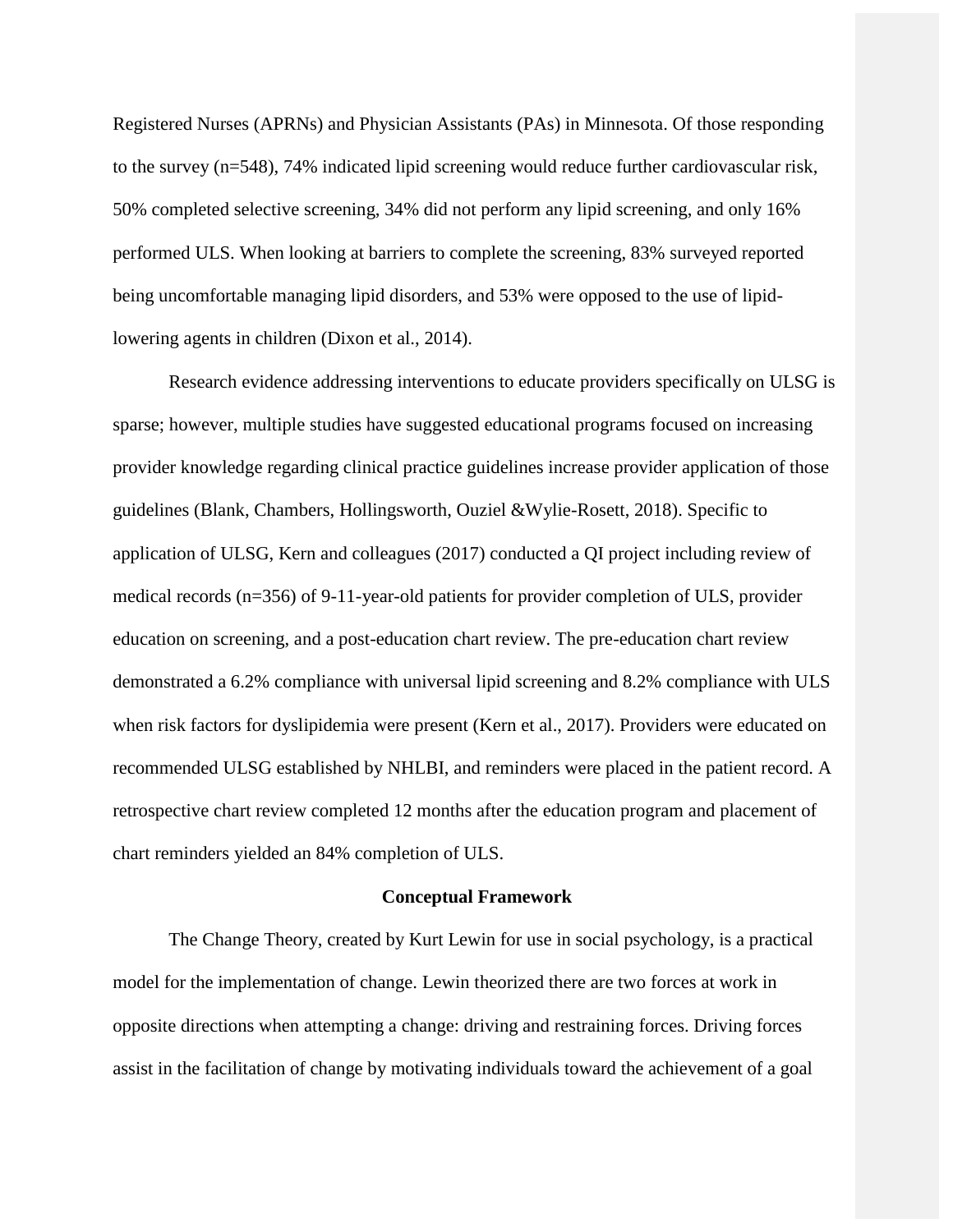Registered Nurses (APRNs) and Physician Assistants (PAs) in Minnesota. Of those responding to the survey (n=548), 74% indicated lipid screening would reduce further cardiovascular risk, 50% completed selective screening, 34% did not perform any lipid screening, and only 16% performed ULS. When looking at barriers to complete the screening, 83% surveyed reported being uncomfortable managing lipid disorders, and 53% were opposed to the use of lipidlowering agents in children (Dixon et al., 2014).

Research evidence addressing interventions to educate providers specifically on ULSG is sparse; however, multiple studies have suggested educational programs focused on increasing provider knowledge regarding clinical practice guidelines increase provider application of those guidelines (Blank, Chambers, Hollingsworth, Ouziel &Wylie-Rosett, 2018). Specific to application of ULSG, Kern and colleagues (2017) conducted a QI project including review of medical records (n=356) of 9-11-year-old patients for provider completion of ULS, provider education on screening, and a post-education chart review. The pre-education chart review demonstrated a 6.2% compliance with universal lipid screening and 8.2% compliance with ULS when risk factors for dyslipidemia were present (Kern et al., 2017). Providers were educated on recommended ULSG established by NHLBI, and reminders were placed in the patient record. A retrospective chart review completed 12 months after the education program and placement of chart reminders yielded an 84% completion of ULS.

#### **Conceptual Framework**

<span id="page-11-0"></span>The Change Theory, created by Kurt Lewin for use in social psychology, is a practical model for the implementation of change. Lewin theorized there are two forces at work in opposite directions when attempting a change: driving and restraining forces. Driving forces assist in the facilitation of change by motivating individuals toward the achievement of a goal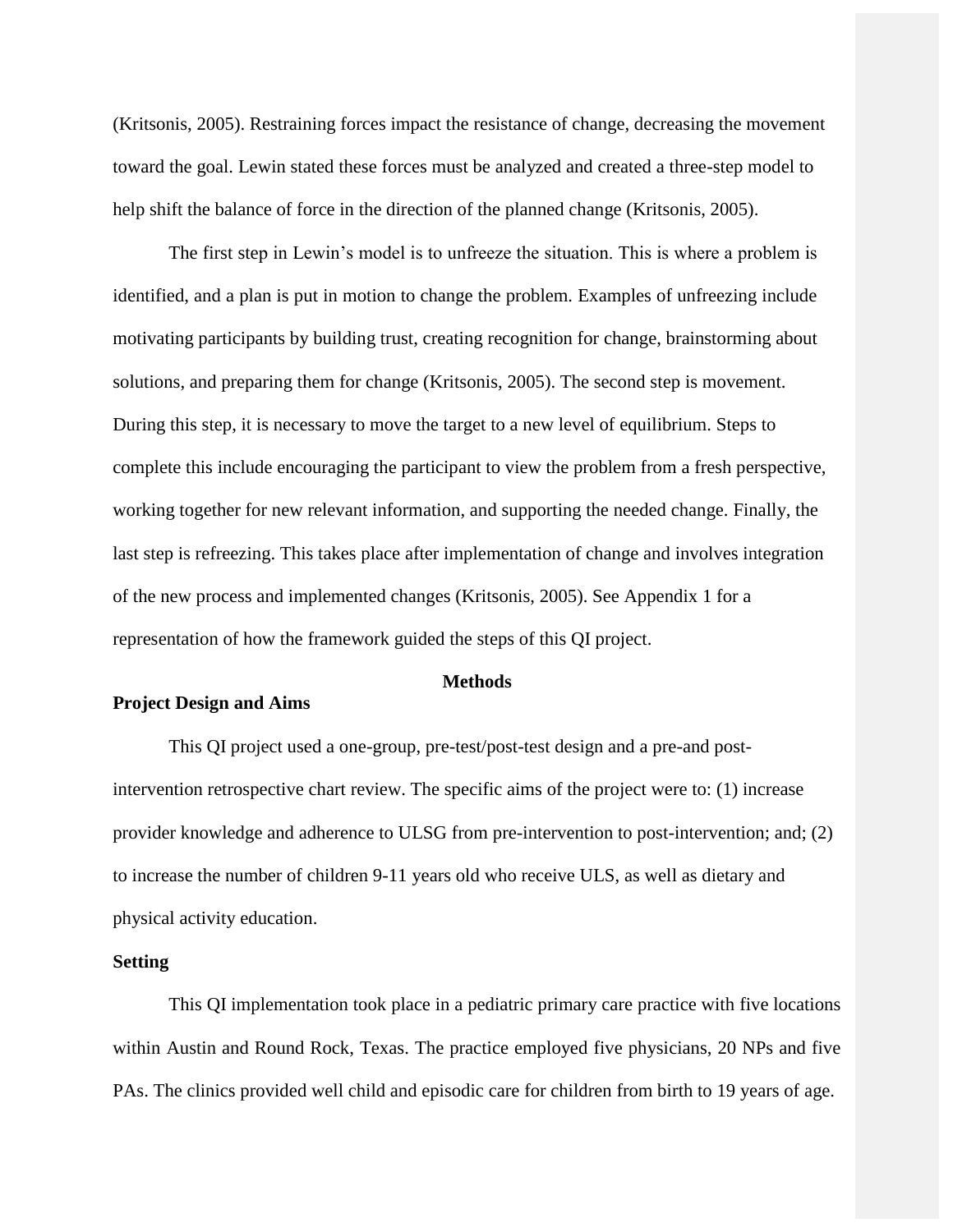(Kritsonis, 2005). Restraining forces impact the resistance of change, decreasing the movement toward the goal. Lewin stated these forces must be analyzed and created a three-step model to help shift the balance of force in the direction of the planned change (Kritsonis, 2005).

The first step in Lewin's model is to unfreeze the situation. This is where a problem is identified, and a plan is put in motion to change the problem. Examples of unfreezing include motivating participants by building trust, creating recognition for change, brainstorming about solutions, and preparing them for change (Kritsonis, 2005). The second step is movement. During this step, it is necessary to move the target to a new level of equilibrium. Steps to complete this include encouraging the participant to view the problem from a fresh perspective, working together for new relevant information, and supporting the needed change. Finally, the last step is refreezing. This takes place after implementation of change and involves integration of the new process and implemented changes (Kritsonis, 2005). See Appendix 1 for a representation of how the framework guided the steps of this QI project.

#### **Methods**

### <span id="page-12-1"></span><span id="page-12-0"></span>**Project Design and Aims**

This QI project used a one-group, pre-test/post-test design and a pre-and postintervention retrospective chart review. The specific aims of the project were to: (1) increase provider knowledge and adherence to ULSG from pre-intervention to post-intervention; and; (2) to increase the number of children 9-11 years old who receive ULS, as well as dietary and physical activity education.

#### <span id="page-12-2"></span>**Setting**

This QI implementation took place in a pediatric primary care practice with five locations within Austin and Round Rock, Texas. The practice employed five physicians, 20 NPs and five PAs. The clinics provided well child and episodic care for children from birth to 19 years of age.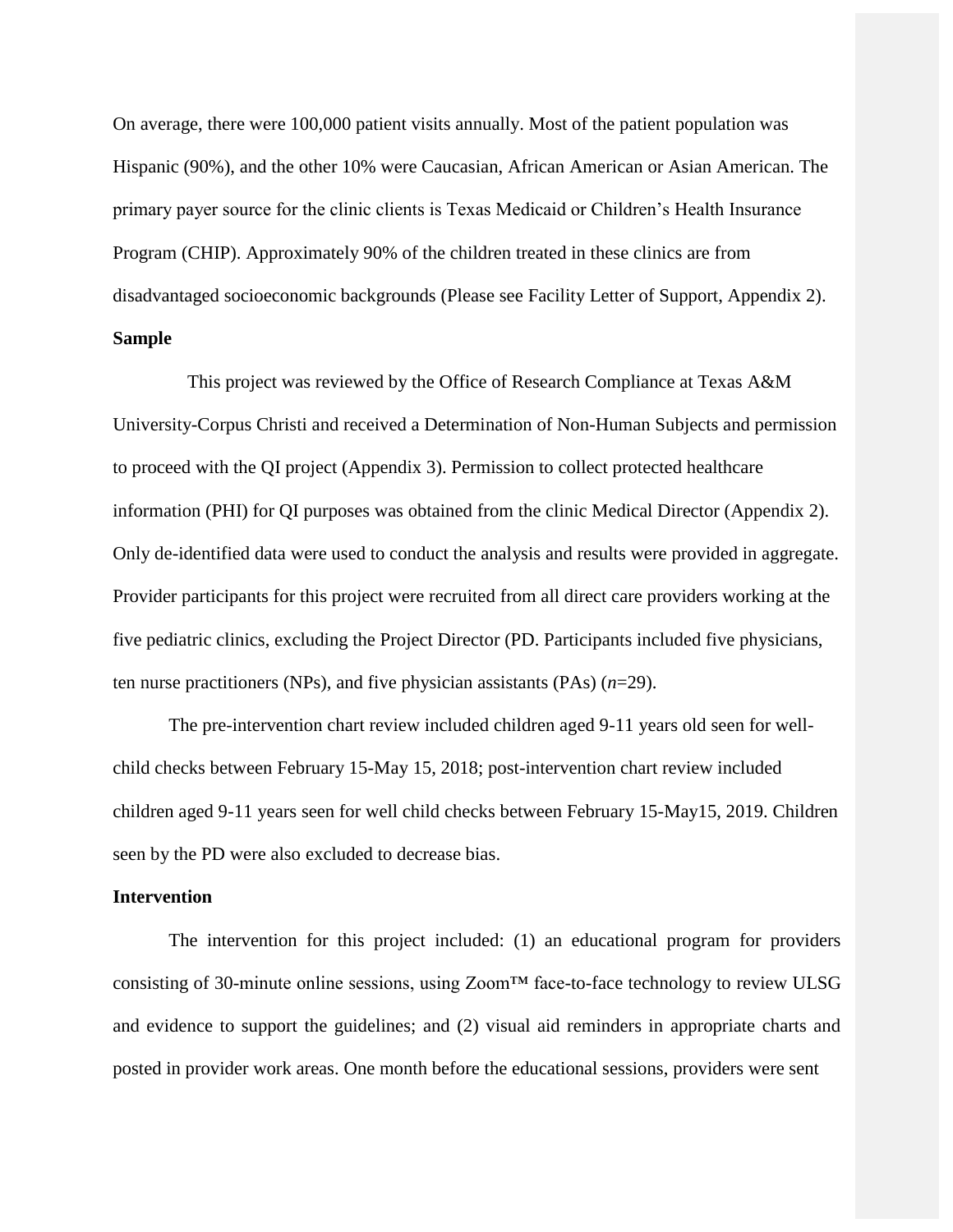On average, there were 100,000 patient visits annually. Most of the patient population was Hispanic (90%), and the other 10% were Caucasian, African American or Asian American. The primary payer source for the clinic clients is Texas Medicaid or Children's Health Insurance Program (CHIP). Approximately 90% of the children treated in these clinics are from disadvantaged socioeconomic backgrounds (Please see Facility Letter of Support, Appendix 2). **Sample**

This project was reviewed by the Office of Research Compliance at Texas A&M University-Corpus Christi and received a Determination of Non-Human Subjects and permission to proceed with the QI project (Appendix 3). Permission to collect protected healthcare information (PHI) for QI purposes was obtained from the clinic Medical Director (Appendix 2). Only de-identified data were used to conduct the analysis and results were provided in aggregate. Provider participants for this project were recruited from all direct care providers working at the five pediatric clinics, excluding the Project Director (PD. Participants included five physicians, ten nurse practitioners (NPs), and five physician assistants (PAs) (*n*=29).

The pre-intervention chart review included children aged 9-11 years old seen for wellchild checks between February 15-May 15, 2018; post-intervention chart review included children aged 9-11 years seen for well child checks between February 15-May15, 2019. Children seen by the PD were also excluded to decrease bias.

#### <span id="page-13-0"></span>**Intervention**

The intervention for this project included: (1) an educational program for providers consisting of 30-minute online sessions, using Zoom™ face-to-face technology to review ULSG and evidence to support the guidelines; and (2) visual aid reminders in appropriate charts and posted in provider work areas. One month before the educational sessions, providers were sent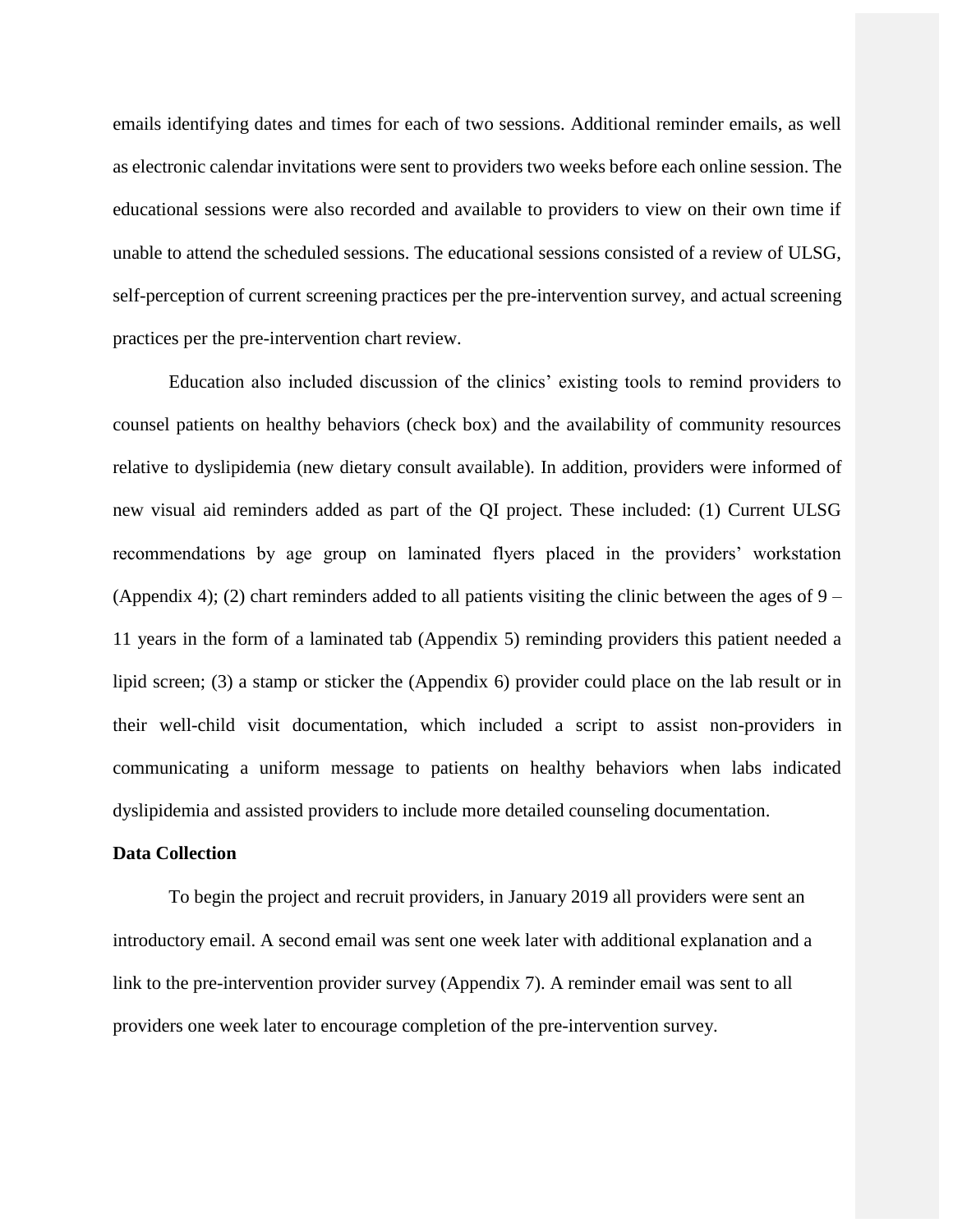emails identifying dates and times for each of two sessions. Additional reminder emails, as well as electronic calendar invitations were sent to providers two weeks before each online session. The educational sessions were also recorded and available to providers to view on their own time if unable to attend the scheduled sessions. The educational sessions consisted of a review of ULSG, self-perception of current screening practices per the pre-intervention survey, and actual screening practices per the pre-intervention chart review.

Education also included discussion of the clinics' existing tools to remind providers to counsel patients on healthy behaviors (check box) and the availability of community resources relative to dyslipidemia (new dietary consult available). In addition, providers were informed of new visual aid reminders added as part of the QI project. These included: (1) Current ULSG recommendations by age group on laminated flyers placed in the providers' workstation (Appendix 4); (2) chart reminders added to all patients visiting the clinic between the ages of  $9 -$ 11 years in the form of a laminated tab (Appendix 5) reminding providers this patient needed a lipid screen; (3) a stamp or sticker the (Appendix 6) provider could place on the lab result or in their well-child visit documentation, which included a script to assist non-providers in communicating a uniform message to patients on healthy behaviors when labs indicated dyslipidemia and assisted providers to include more detailed counseling documentation.

#### <span id="page-14-0"></span>**Data Collection**

To begin the project and recruit providers, in January 2019 all providers were sent an introductory email. A second email was sent one week later with additional explanation and a link to the pre-intervention provider survey (Appendix 7). A reminder email was sent to all providers one week later to encourage completion of the pre-intervention survey.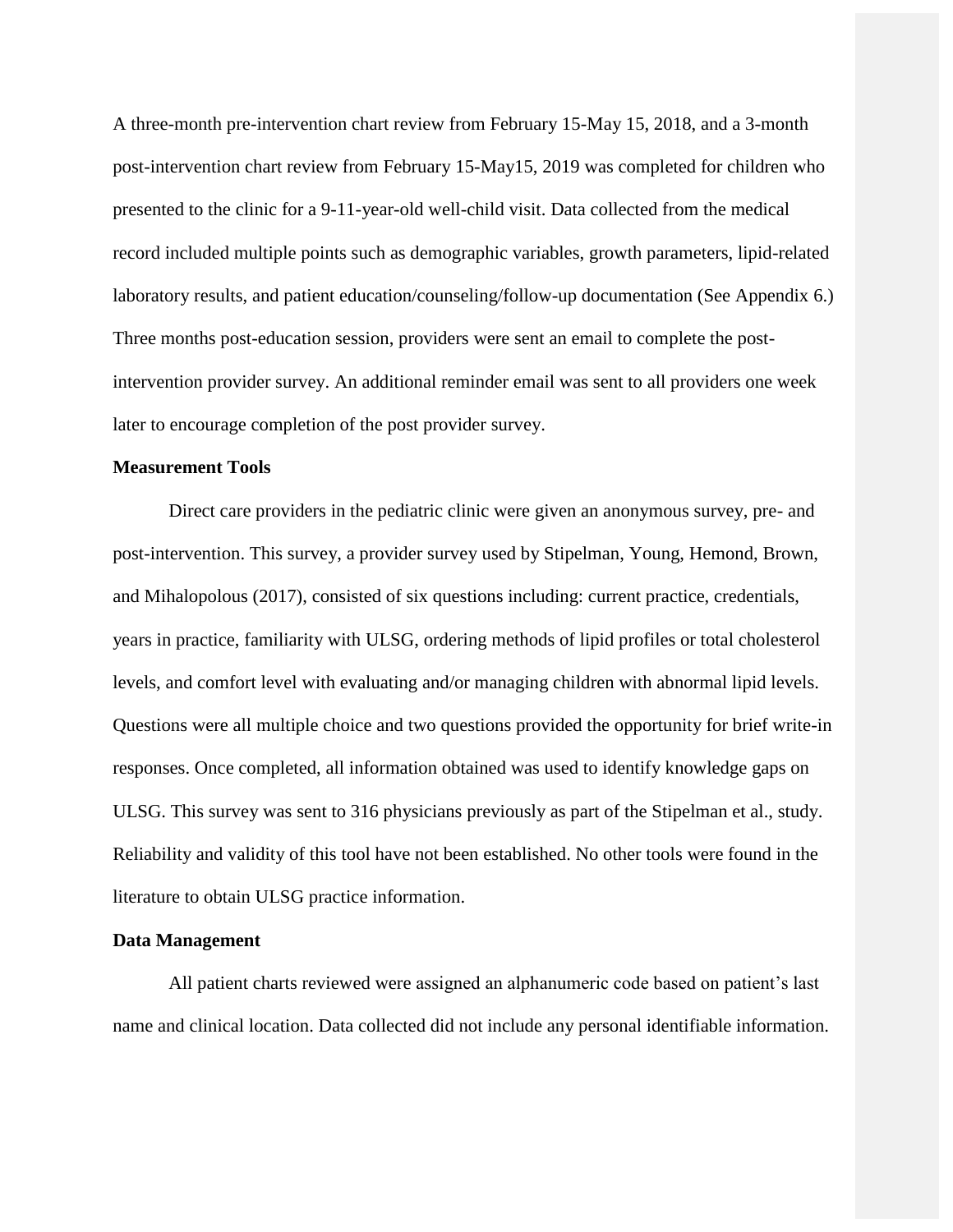A three-month pre-intervention chart review from February 15-May 15, 2018, and a 3-month post-intervention chart review from February 15-May15, 2019 was completed for children who presented to the clinic for a 9-11-year-old well-child visit. Data collected from the medical record included multiple points such as demographic variables, growth parameters, lipid-related laboratory results, and patient education/counseling/follow-up documentation (See Appendix 6.) Three months post-education session, providers were sent an email to complete the postintervention provider survey. An additional reminder email was sent to all providers one week later to encourage completion of the post provider survey.

#### <span id="page-15-0"></span>**Measurement Tools**

Direct care providers in the pediatric clinic were given an anonymous survey, pre- and post-intervention. This survey, a provider survey used by Stipelman, Young, Hemond, Brown, and Mihalopolous (2017), consisted of six questions including: current practice, credentials, years in practice, familiarity with ULSG, ordering methods of lipid profiles or total cholesterol levels, and comfort level with evaluating and/or managing children with abnormal lipid levels. Questions were all multiple choice and two questions provided the opportunity for brief write-in responses. Once completed, all information obtained was used to identify knowledge gaps on ULSG. This survey was sent to 316 physicians previously as part of the Stipelman et al., study. Reliability and validity of this tool have not been established. No other tools were found in the literature to obtain ULSG practice information.

#### <span id="page-15-1"></span>**Data Management**

All patient charts reviewed were assigned an alphanumeric code based on patient's last name and clinical location. Data collected did not include any personal identifiable information.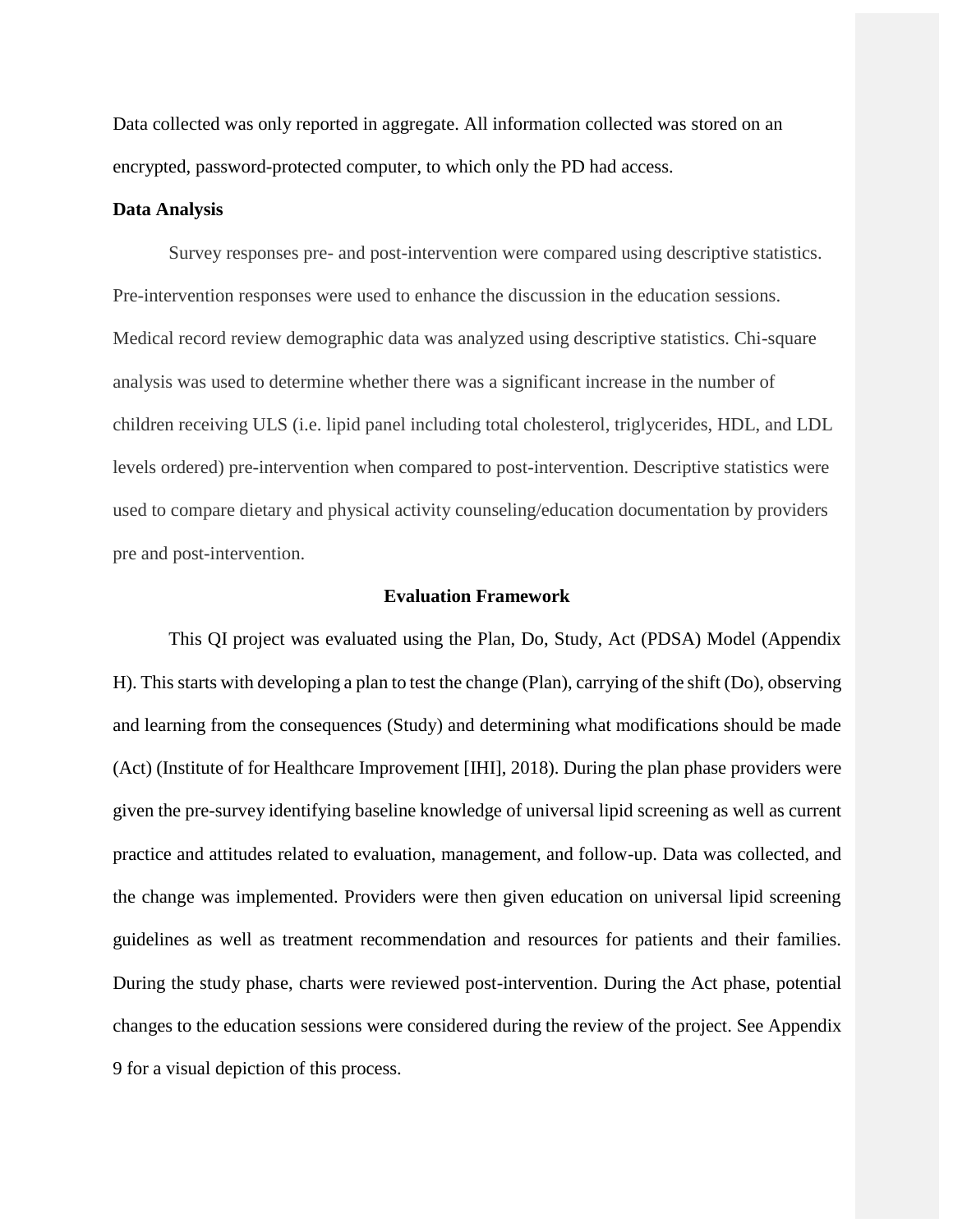Data collected was only reported in aggregate. All information collected was stored on an encrypted, password-protected computer, to which only the PD had access.

#### **Data Analysis**

Survey responses pre- and post-intervention were compared using descriptive statistics. Pre-intervention responses were used to enhance the discussion in the education sessions. Medical record review demographic data was analyzed using descriptive statistics. Chi-square analysis was used to determine whether there was a significant increase in the number of children receiving ULS (i.e. lipid panel including total cholesterol, triglycerides, HDL, and LDL levels ordered) pre-intervention when compared to post-intervention. Descriptive statistics were used to compare dietary and physical activity counseling/education documentation by providers pre and post-intervention.

#### **Evaluation Framework**

<span id="page-16-0"></span>This QI project was evaluated using the Plan, Do, Study, Act (PDSA) Model (Appendix H). This starts with developing a plan to test the change (Plan), carrying of the shift (Do), observing and learning from the consequences (Study) and determining what modifications should be made (Act) (Institute of for Healthcare Improvement [IHI], 2018). During the plan phase providers were given the pre-survey identifying baseline knowledge of universal lipid screening as well as current practice and attitudes related to evaluation, management, and follow-up. Data was collected, and the change was implemented. Providers were then given education on universal lipid screening guidelines as well as treatment recommendation and resources for patients and their families. During the study phase, charts were reviewed post-intervention. During the Act phase, potential changes to the education sessions were considered during the review of the project. See Appendix 9 for a visual depiction of this process.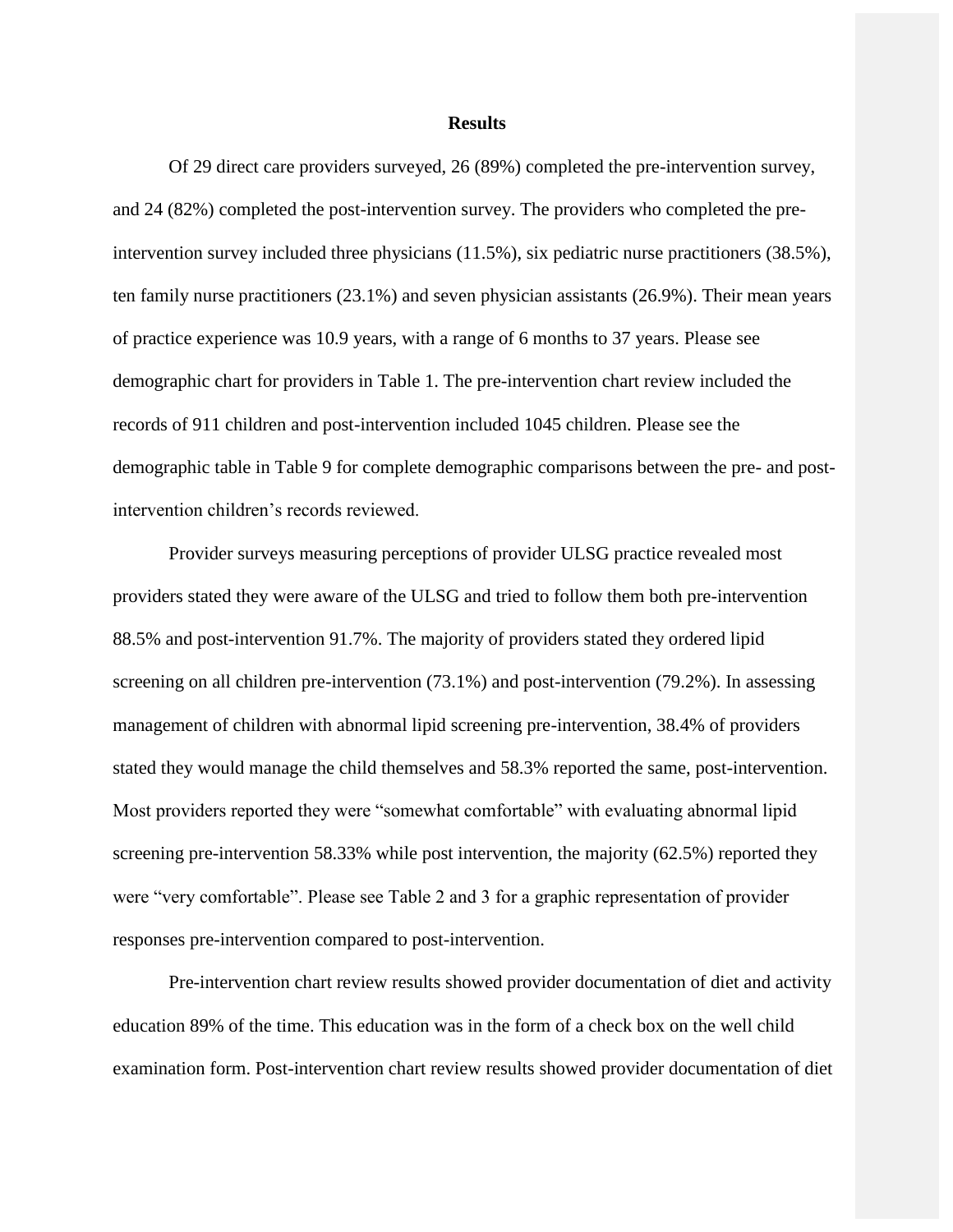#### **Results**

<span id="page-17-0"></span>Of 29 direct care providers surveyed, 26 (89%) completed the pre-intervention survey, and 24 (82%) completed the post-intervention survey. The providers who completed the preintervention survey included three physicians (11.5%), six pediatric nurse practitioners (38.5%), ten family nurse practitioners (23.1%) and seven physician assistants (26.9%). Their mean years of practice experience was 10.9 years, with a range of 6 months to 37 years. Please see demographic chart for providers in Table 1. The pre-intervention chart review included the records of 911 children and post-intervention included 1045 children. Please see the demographic table in Table 9 for complete demographic comparisons between the pre- and postintervention children's records reviewed.

Provider surveys measuring perceptions of provider ULSG practice revealed most providers stated they were aware of the ULSG and tried to follow them both pre-intervention 88.5% and post-intervention 91.7%. The majority of providers stated they ordered lipid screening on all children pre-intervention (73.1%) and post-intervention (79.2%). In assessing management of children with abnormal lipid screening pre-intervention, 38.4% of providers stated they would manage the child themselves and 58.3% reported the same, post-intervention. Most providers reported they were "somewhat comfortable" with evaluating abnormal lipid screening pre-intervention 58.33% while post intervention, the majority (62.5%) reported they were "very comfortable". Please see Table 2 and 3 for a graphic representation of provider responses pre-intervention compared to post-intervention.

Pre-intervention chart review results showed provider documentation of diet and activity education 89% of the time. This education was in the form of a check box on the well child examination form. Post-intervention chart review results showed provider documentation of diet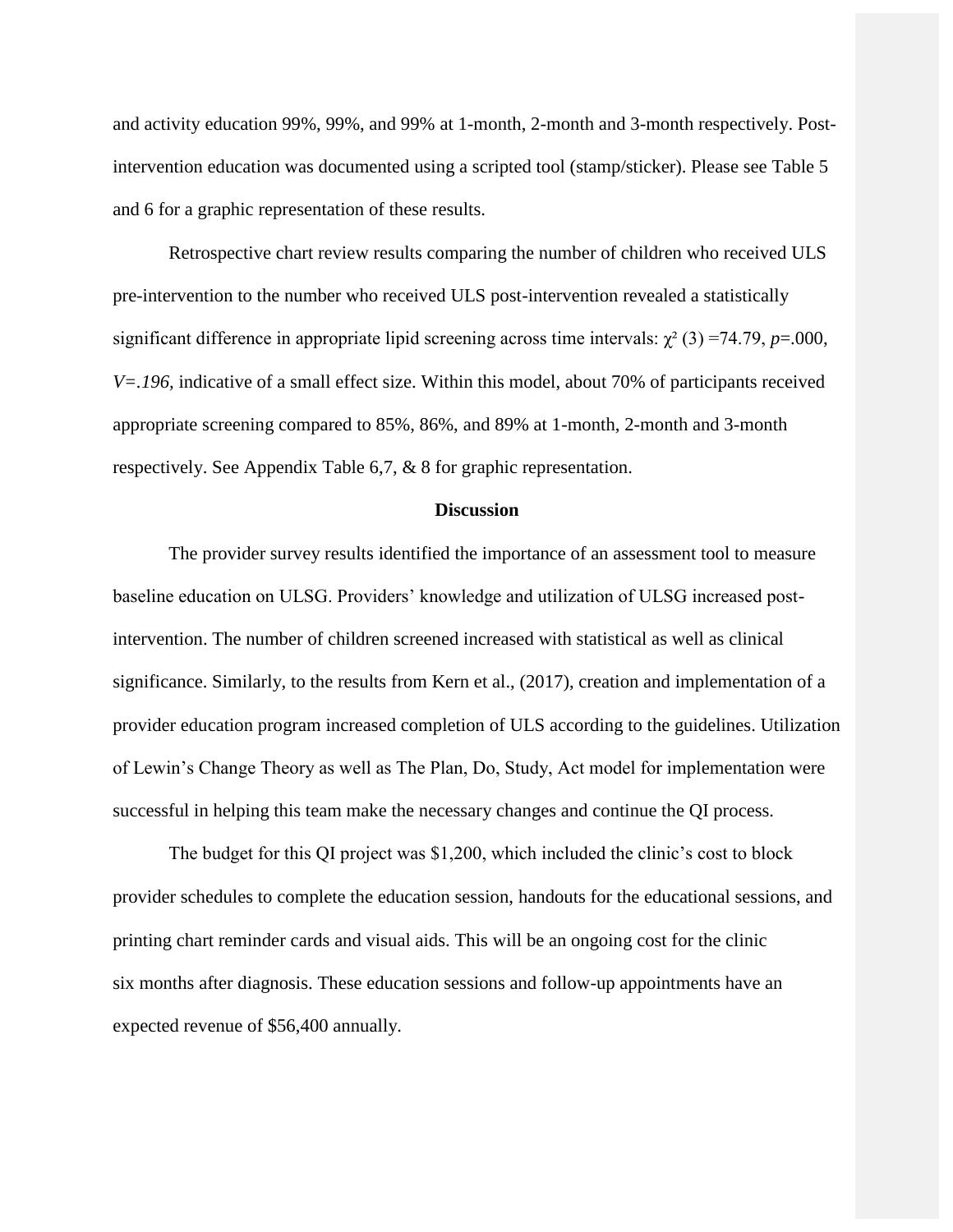and activity education 99%, 99%, and 99% at 1-month, 2-month and 3-month respectively. Postintervention education was documented using a scripted tool (stamp/sticker). Please see Table 5 and 6 for a graphic representation of these results.

Retrospective chart review results comparing the number of children who received ULS pre-intervention to the number who received ULS post-intervention revealed a statistically significant difference in appropriate lipid screening across time intervals:  $\chi^2$  (3) =74.79, *p*=.000, *V=.196,* indicative of a small effect size. Within this model, about 70% of participants received appropriate screening compared to 85%, 86%, and 89% at 1-month, 2-month and 3-month respectively. See Appendix Table 6,7, & 8 for graphic representation.

#### **Discussion**

<span id="page-18-0"></span>The provider survey results identified the importance of an assessment tool to measure baseline education on ULSG. Providers' knowledge and utilization of ULSG increased postintervention. The number of children screened increased with statistical as well as clinical significance. Similarly, to the results from Kern et al., (2017), creation and implementation of a provider education program increased completion of ULS according to the guidelines. Utilization of Lewin's Change Theory as well as The Plan, Do, Study, Act model for implementation were successful in helping this team make the necessary changes and continue the QI process.

The budget for this QI project was \$1,200, which included the clinic's cost to block provider schedules to complete the education session, handouts for the educational sessions, and printing chart reminder cards and visual aids. This will be an ongoing cost for the clinic six months after diagnosis. These education sessions and follow-up appointments have an expected revenue of \$56,400 annually.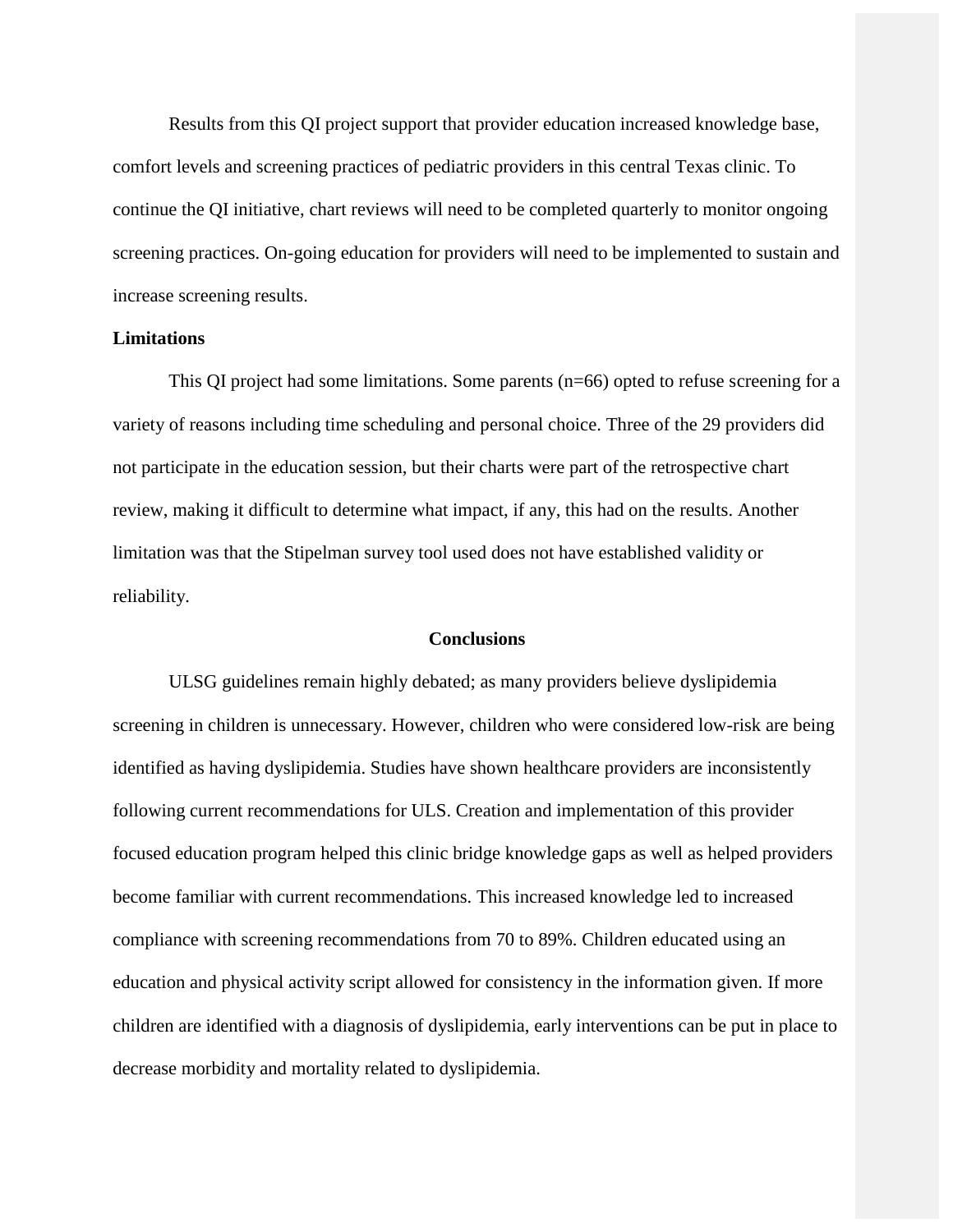Results from this QI project support that provider education increased knowledge base, comfort levels and screening practices of pediatric providers in this central Texas clinic. To continue the QI initiative, chart reviews will need to be completed quarterly to monitor ongoing screening practices. On-going education for providers will need to be implemented to sustain and increase screening results.

#### <span id="page-19-0"></span>**Limitations**

This QI project had some limitations. Some parents (n=66) opted to refuse screening for a variety of reasons including time scheduling and personal choice. Three of the 29 providers did not participate in the education session, but their charts were part of the retrospective chart review, making it difficult to determine what impact, if any, this had on the results. Another limitation was that the Stipelman survey tool used does not have established validity or reliability.

#### **Conclusions**

<span id="page-19-1"></span>ULSG guidelines remain highly debated; as many providers believe dyslipidemia screening in children is unnecessary. However, children who were considered low-risk are being identified as having dyslipidemia. Studies have shown healthcare providers are inconsistently following current recommendations for ULS. Creation and implementation of this provider focused education program helped this clinic bridge knowledge gaps as well as helped providers become familiar with current recommendations. This increased knowledge led to increased compliance with screening recommendations from 70 to 89%. Children educated using an education and physical activity script allowed for consistency in the information given. If more children are identified with a diagnosis of dyslipidemia, early interventions can be put in place to decrease morbidity and mortality related to dyslipidemia.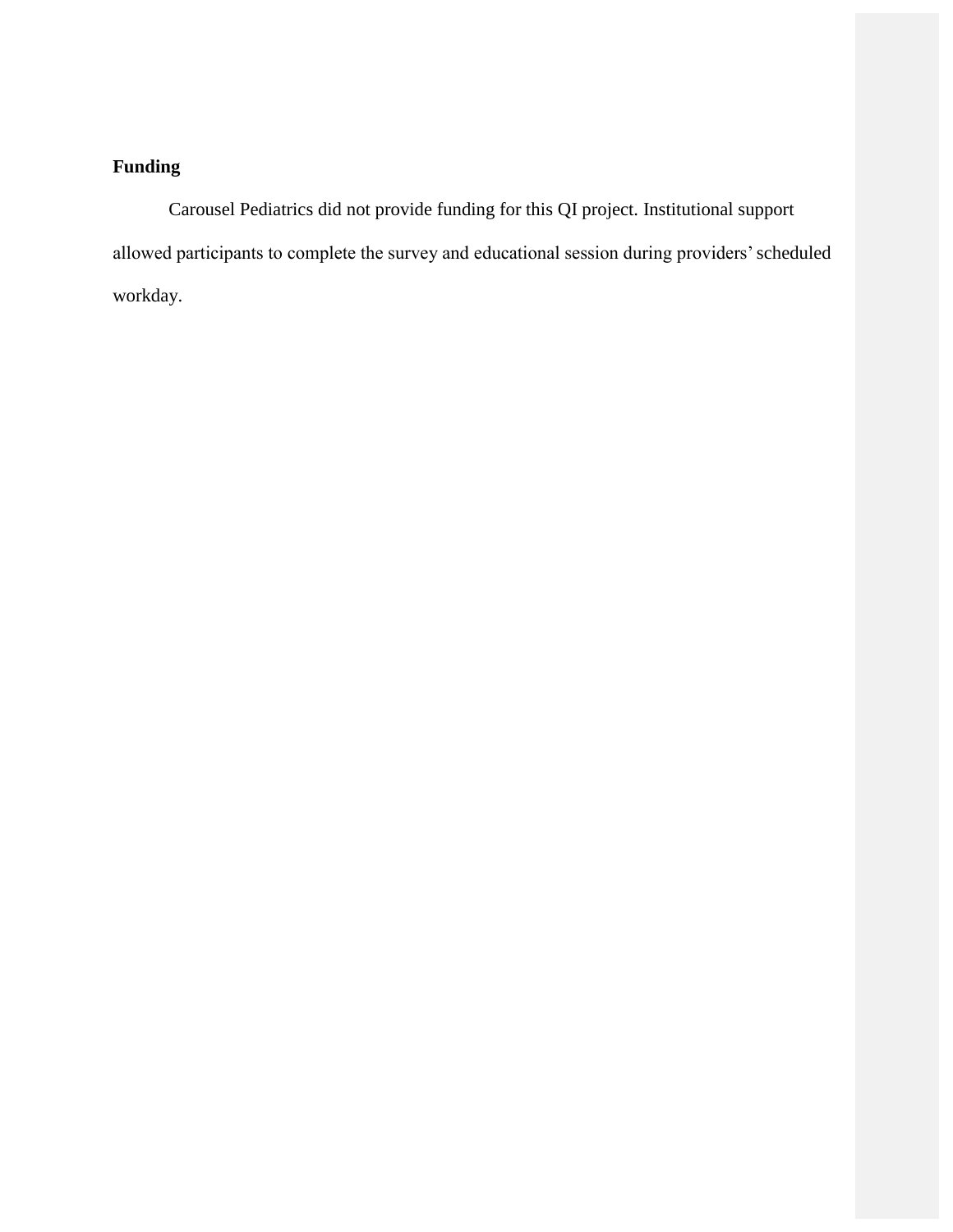# **Funding**

Carousel Pediatrics did not provide funding for this QI project. Institutional support allowed participants to complete the survey and educational session during providers'scheduled workday.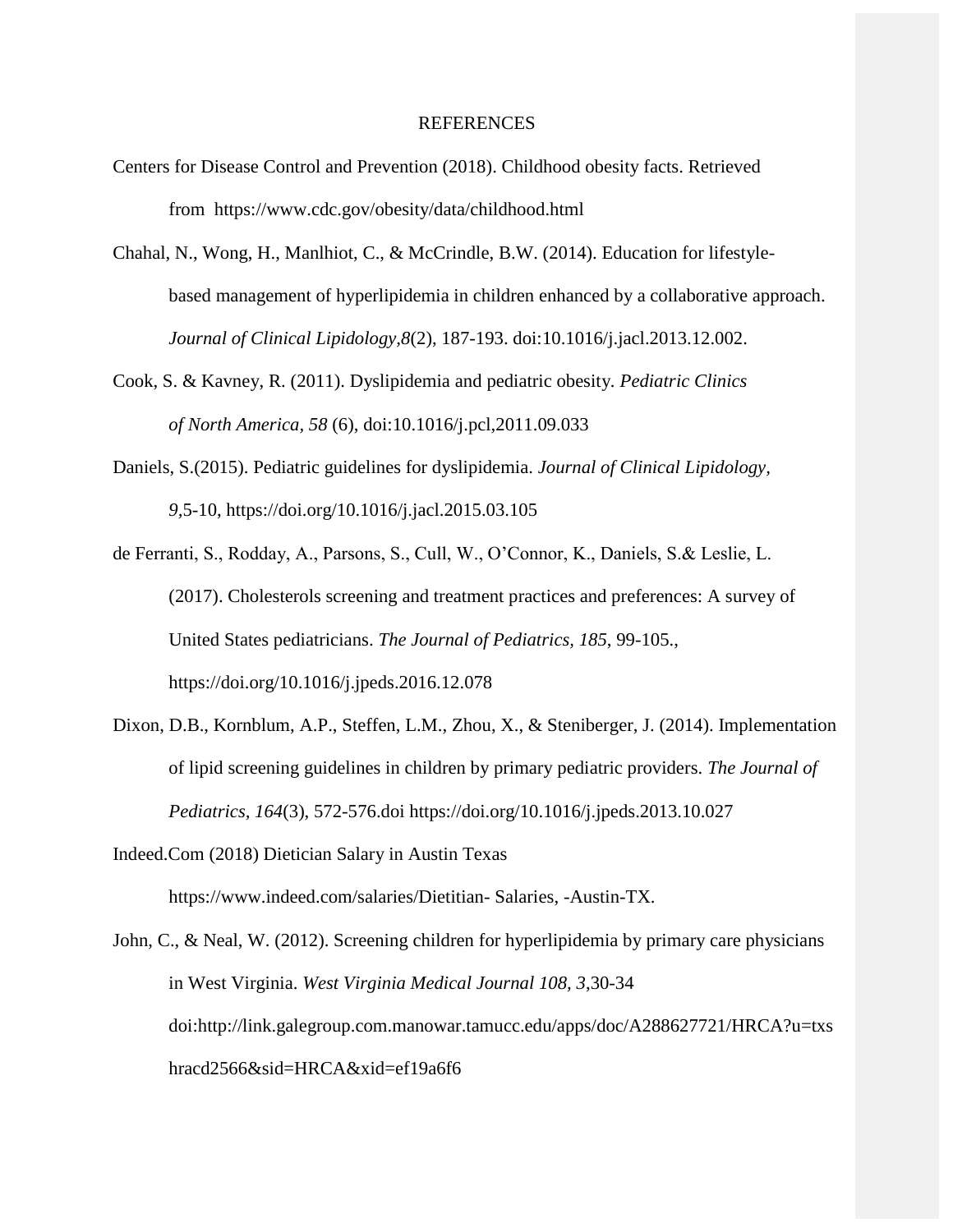#### REFERENCES

- Centers for Disease Control and Prevention (2018). Childhood obesity facts. Retrieved from h[ttps://www.cdc.gov/obesity/data/childhood.html](http://www.cdc.gov/obesity/data/childhood.html)
- Chahal, N., Wong, H., Manlhiot, C., & McCrindle, B.W. (2014). Education for lifestylebased management of hyperlipidemia in children enhanced by a collaborative approach. *Journal of Clinical Lipidology,8*(2), 187-193. doi:10.1016/j.jacl.2013.12.002.
- Cook, S. & Kavney, R. (2011). Dyslipidemia and pediatric obesity*. Pediatric Clinics of North America, 58* (6), doi:10.1016/j.pcl,2011.09.033
- Daniels, S.(2015). Pediatric guidelines for dyslipidemia. *Journal of Clinical Lipidology, 9,*5-10, https://doi.org/10.1016/j.jacl.2015.03.105
- de Ferranti, S., Rodday, A., Parsons, S., Cull, W., O'Connor, K., Daniels, S.& Leslie, L. (2017). Cholesterols screening and treatment practices and preferences: A survey of United States pediatricians. *The Journal of Pediatrics, 185*, 99-105., https://doi.org/10.1016/j.jpeds.2016.12.078
- Dixon, D.B., Kornblum, A.P., Steffen, L.M., Zhou, X., & Steniberger, J. (2014). Implementation of lipid screening guidelines in children by primary pediatric providers. *The Journal of Pediatrics, 164*(3), 572-576.doi https://doi.org/10.1016/j.jpeds.2013.10.027
- Indeed.Com (2018) Dietician Salary in Austin Texas h[ttps://www.indeed.com/salaries/Dietitian-](http://www.indeed.com/salaries/Dietitian-) Salaries, -Austin-TX.

John, C., & Neal, W. (2012). Screening children for hyperlipidemia by primary care physicians in West Virginia. *West Virginia Medical Journal 108, 3*,30-34 [doi:http://link.galegroup.com.manowar.tamucc.edu/apps/doc/A288627721/HRCA?u=txs](http://link.galegroup.com.manowar.tamucc.edu/apps/doc/A288627721/HRCA?u=txs) hracd2566&sid=HRCA&xid=ef19a6f6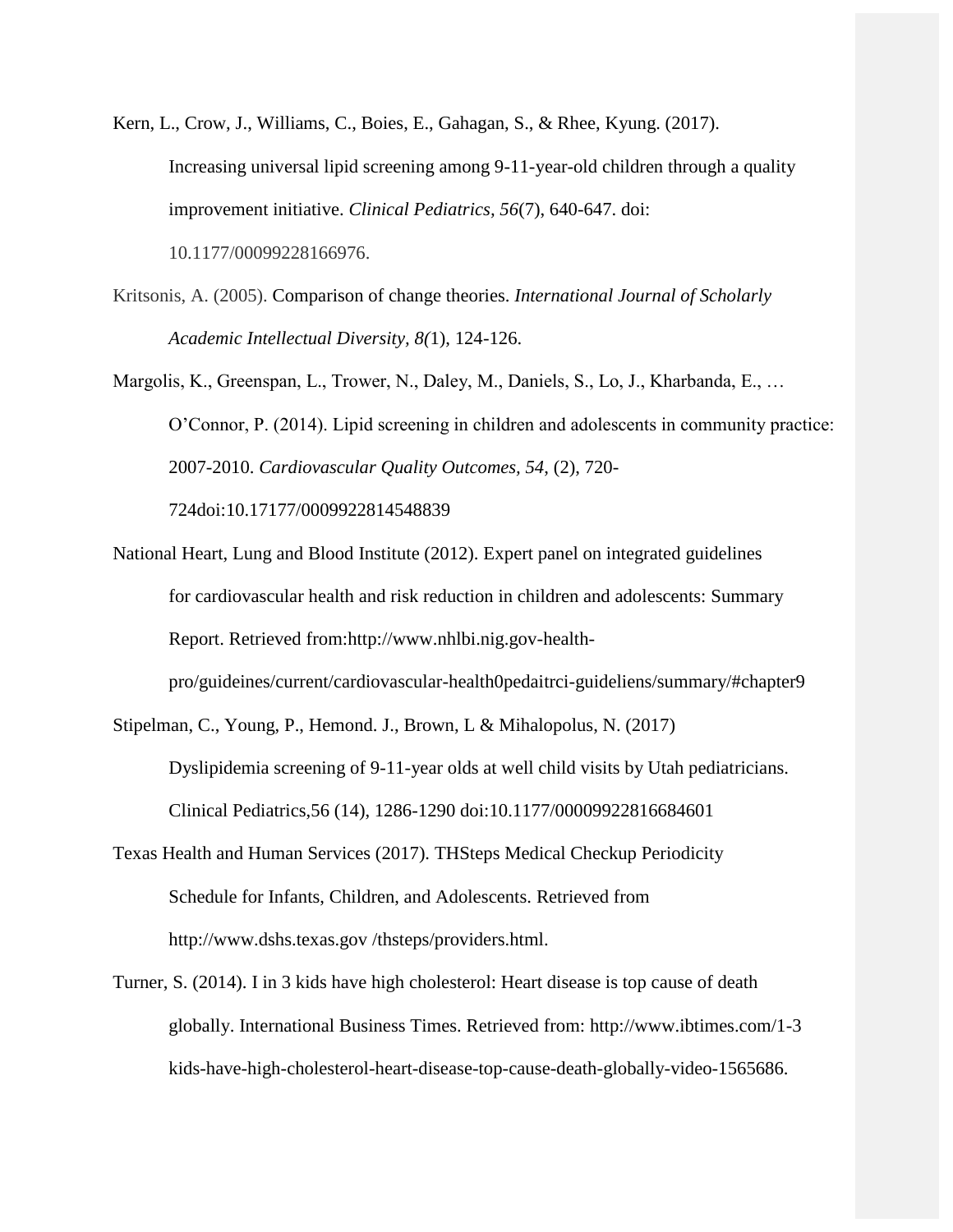Kern, L., Crow, J., Williams, C., Boies, E., Gahagan, S., & Rhee, Kyung. (2017). Increasing universal lipid screening among 9-11-year-old children through a quality improvement initiative. *Clinical Pediatrics, 56*(7), 640-647. doi: 10.1177/00099228166976.

Kritsonis, A. (2005). Comparison of change theories. *International Journal of Scholarly Academic Intellectual Diversity, 8(*1), 124-126.

Margolis, K., Greenspan, L., Trower, N., Daley, M., Daniels, S., Lo, J., Kharbanda, E., … O'Connor, P. (2014). Lipid screening in children and adolescents in community practice: 2007-2010. *Cardiovascular Quality Outcomes, 54*, (2), 720- 724doi:10.17177/0009922814548839

National Heart, Lung and Blood Institute (2012). Expert panel on integrated guidelines for cardiovascular health and risk reduction in children and adolescents: Summary Report. Retrieved [from:http://www.nhlbi.nig.gov-health](http://www.nhlbi.nig.gov-health-/)pro/guideines/current/cardiovascular-health0pedaitrci-guideliens/summary/#chapter9

Stipelman, C., Young, P., Hemond. J., Brown, L & Mihalopolus, N. (2017) Dyslipidemia screening of 9-11-year olds at well child visits by Utah pediatricians. Clinical Pediatrics,56 (14), 1286-1290 doi:10.1177/00009922816684601

- Texas Health and Human Services (2017). THSteps Medical Checkup Periodicity Schedule for Infants, Children, and Adolescents. Retrieved from [http://www.dshs.texas.gov /](http://www.dshs.texas.gov/)thsteps/providers.html.
- Turner, S. (2014). I in 3 kids have high cholesterol: Heart disease is top cause of death globally. International Business Times. Retriev[ed from: http://www.ibtimes.com/1-3](http://www.ibtimes.com/1-3) kids-have-high-cholesterol-heart-disease-top-cause-death-globally-video-1565686.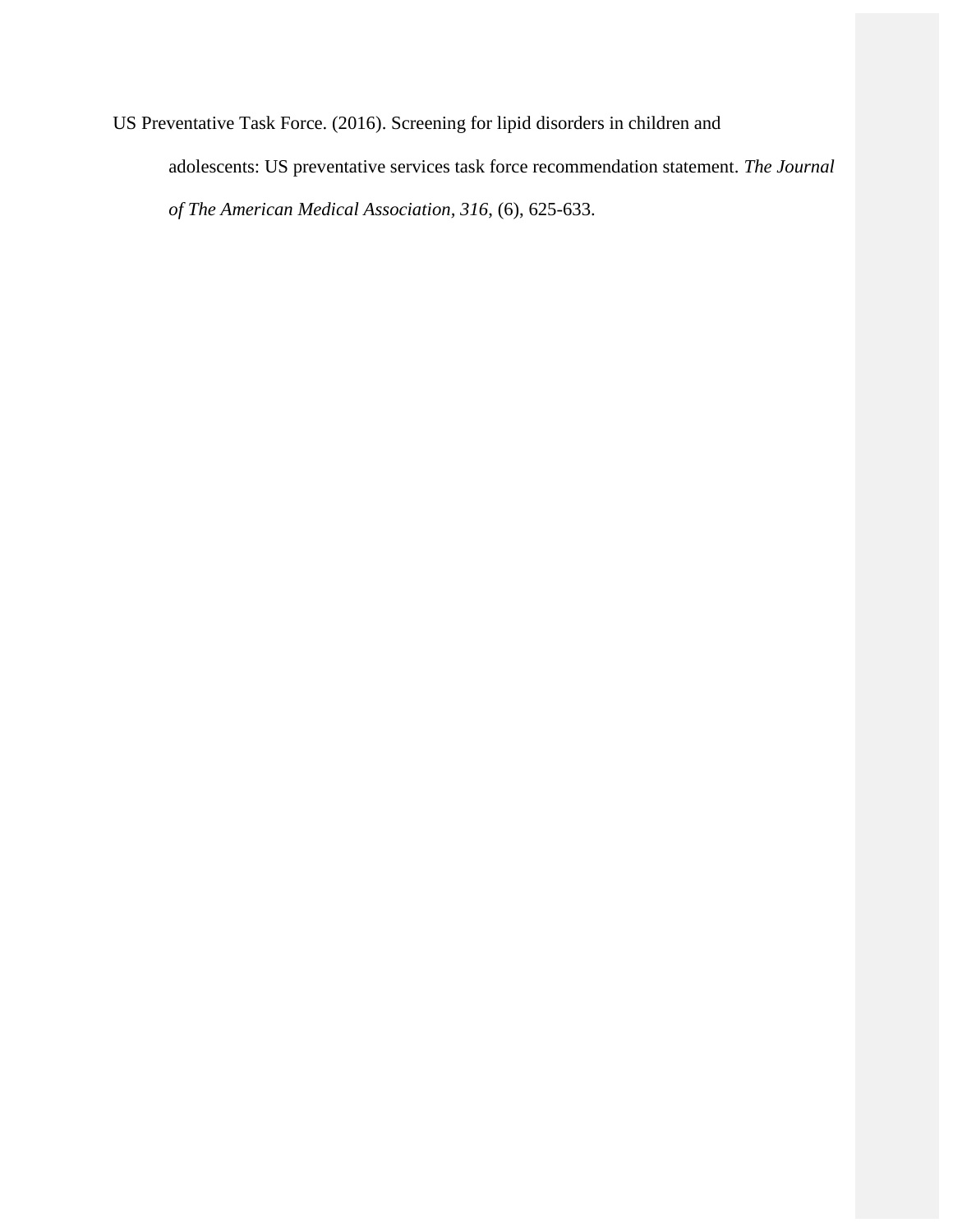US Preventative Task Force. (2016). Screening for lipid disorders in children and adolescents: US preventative services task force recommendation statement. *The Journal of The American Medical Association, 316*, (6), 625-633.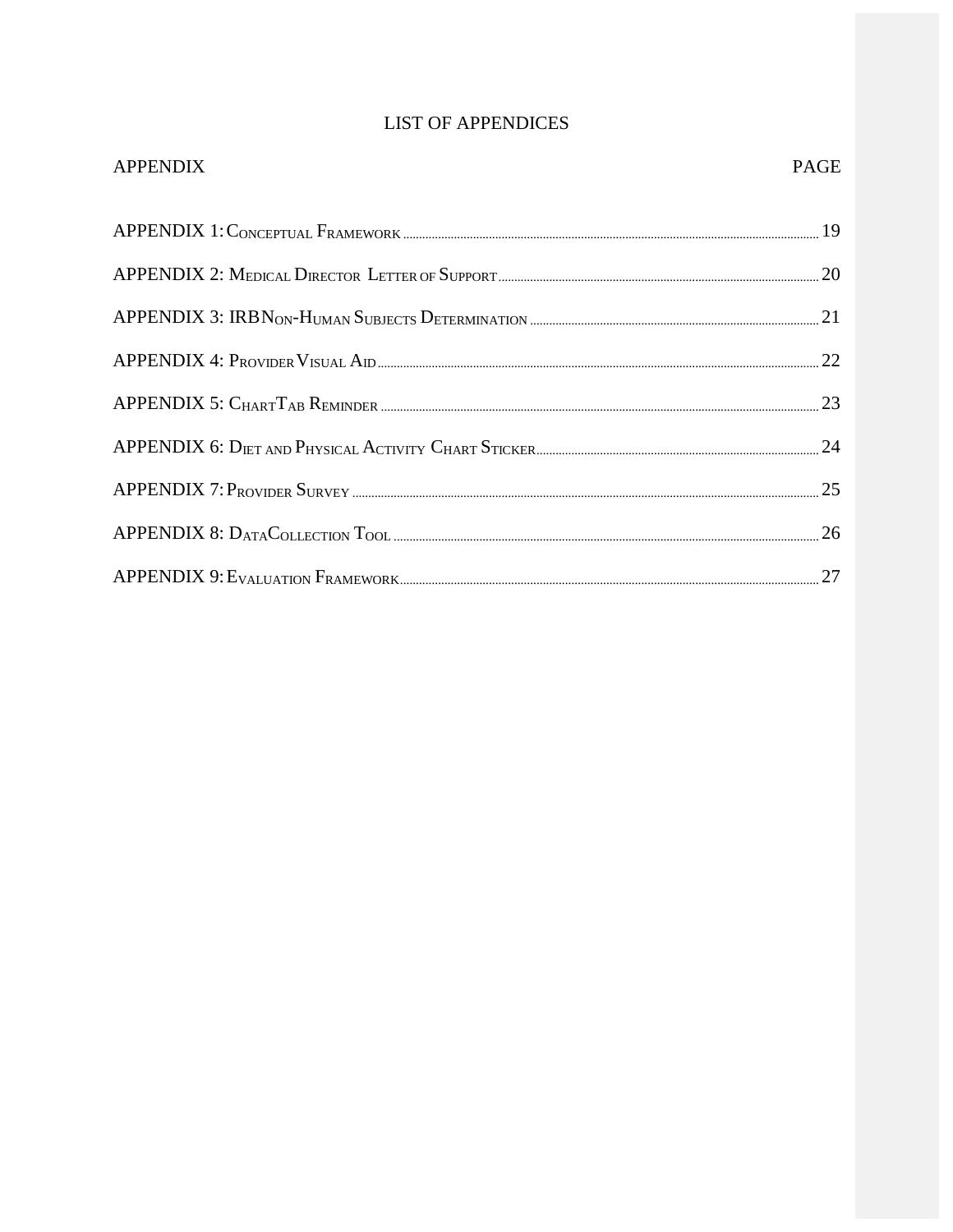# **LIST OF APPENDICES**

| <b>APPENDIX</b>                                      | <b>PAGE</b> |
|------------------------------------------------------|-------------|
|                                                      |             |
|                                                      |             |
|                                                      |             |
| $APPENDIX 4: P_{ROVIDER} V_{ISUAL} A_{ID \dots}$     |             |
|                                                      |             |
| APPENDIX 6: DIET AND PHYSICAL ACTIVITY CHART STICKER |             |
|                                                      |             |
| $APPENDIX 8: D_{ATA}C_{OLECTION}T_{OOD}$             |             |
|                                                      |             |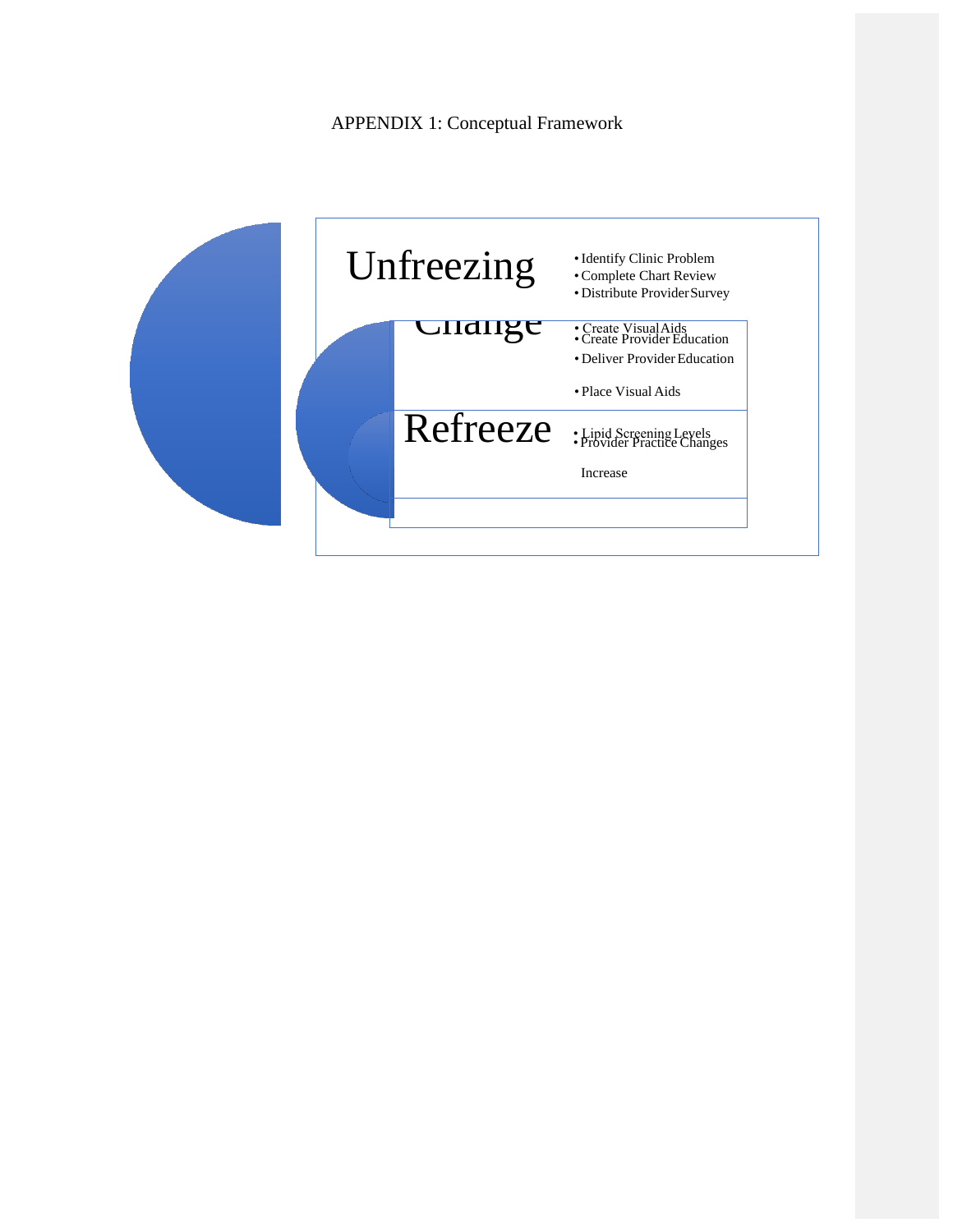APPENDIX 1: Conceptual Framework

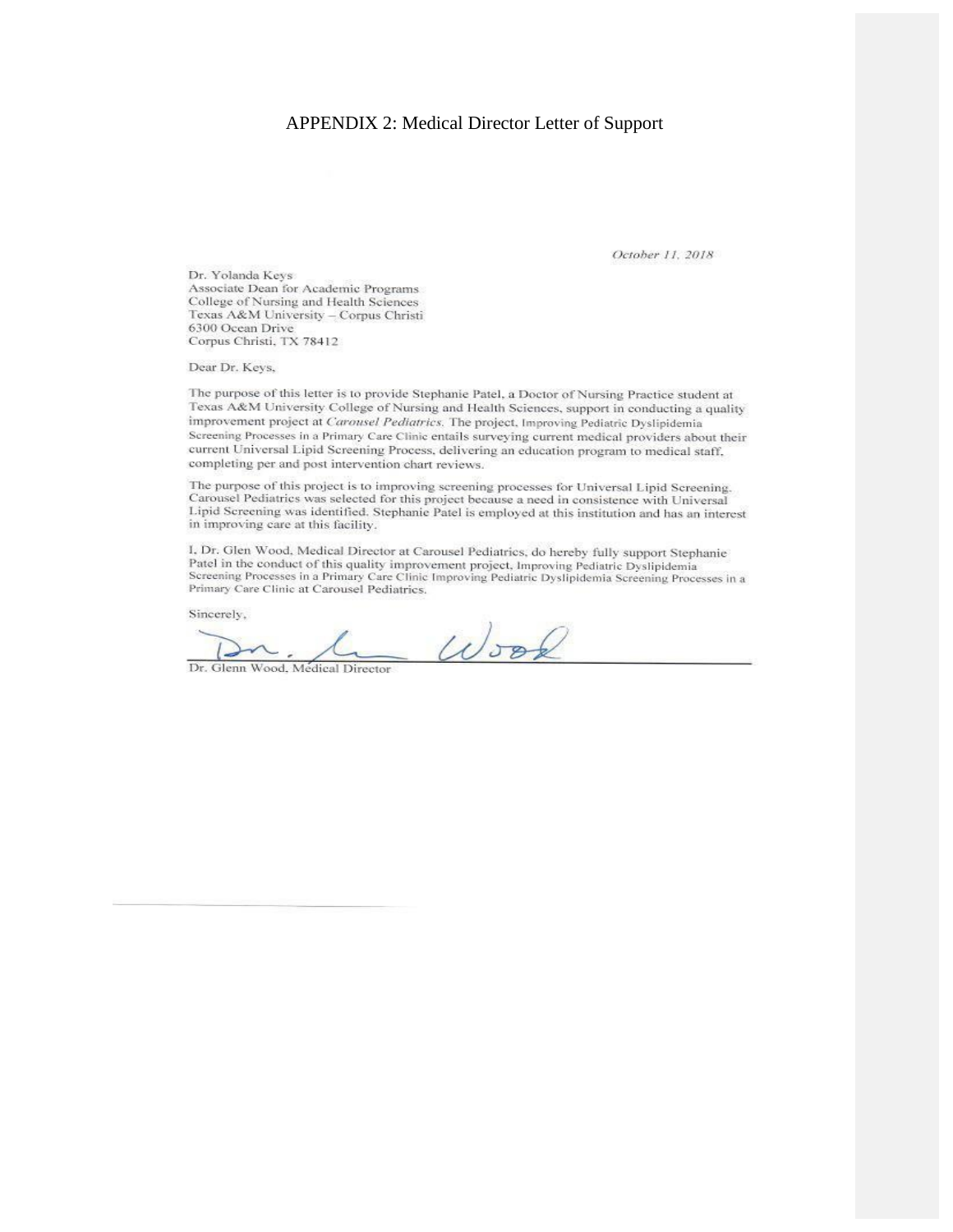#### APPENDIX 2: Medical Director Letter of Support

October 11, 2018

Dr. Yolanda Keys Associate Dean for Academic Programs College of Nursing and Health Sciences Texas A&M University - Corpus Christi 6300 Ocean Drive Corpus Christi, TX 78412

Dear Dr. Keys,

The purpose of this letter is to provide Stephanie Patel, a Doctor of Nursing Practice student at Texas A&M University College of Nursing and Health Sciences, support in conducting a quality improvement project at Carousel Pediatrics. The project, Improving Pediatric Dyslipidemia Screening Processes in a Primary Care Clinic entails surveying current medical providers about their current Universal Lipid Screening Process, delivering an education program to medical staff, completing per and post intervention chart reviews.

The purpose of this project is to improving screening processes for Universal Lipid Screening. Carousel Pediatrics was selected for this project because a need in consistence with Universal Lipid Screening was identified. Stephanie Patel is employed at this institution and has an interest in improving care at this facility.

I, Dr. Glen Wood, Medical Director at Carousel Pediatrics, do hereby fully support Stephanie Patel in the conduct of this quality improvement project, Improving Pediatric Dyslipidemia Screening Processes in a Primary Care Clinic Improving Pediatric Dyslipidemia Screening Processes in a Primary Care Clinic at Carousel Pediatrics.

Sincerely,

 $\omega$ sof

Dr. Glenn Wood, Medical Director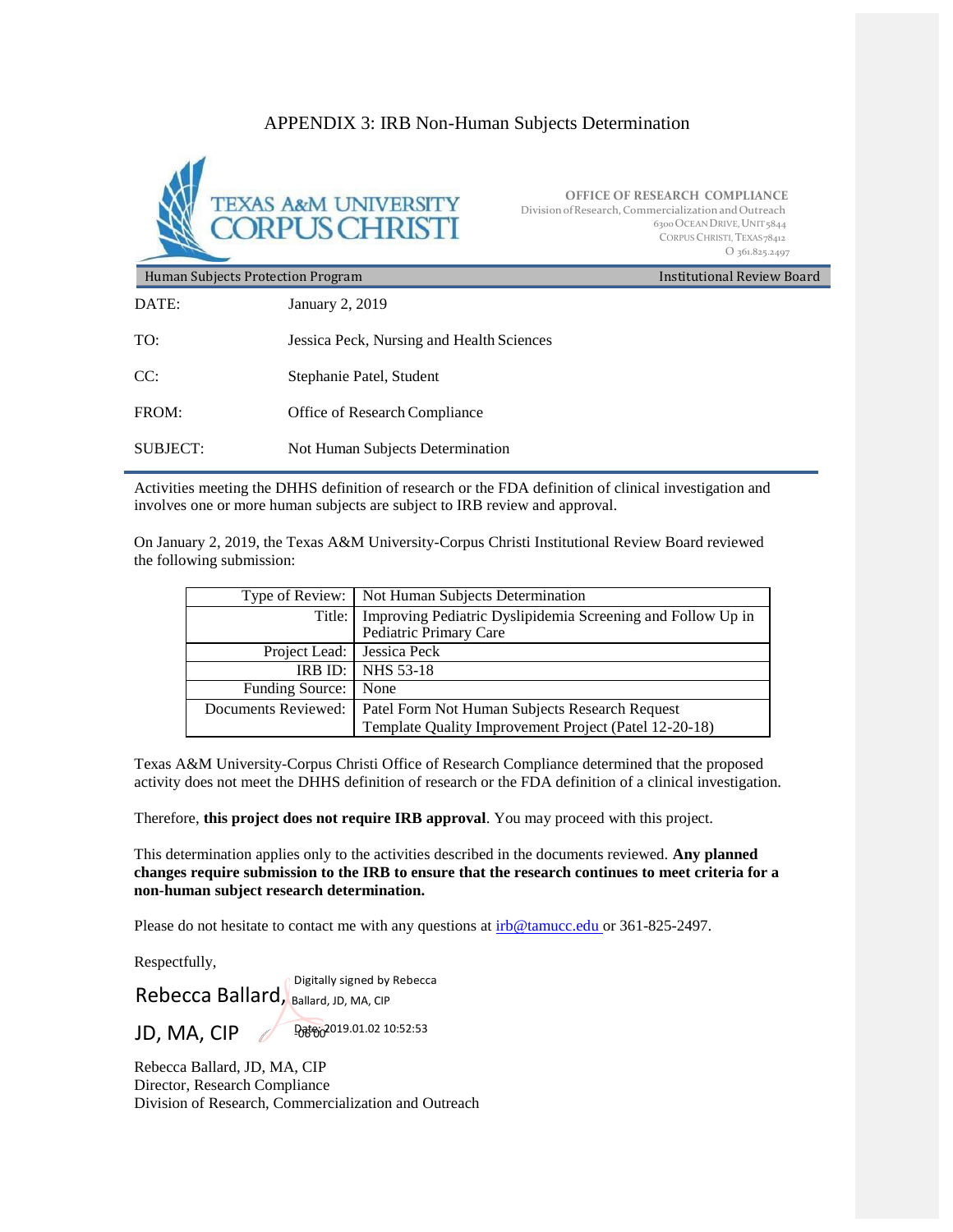### APPENDIX 3: IRB Non-Human Subjects Determination



**OFFICE OF RESEARCH COMPLIANCE** Division of Research, Commercialization and Outreach 6300OCEANDRIVE,UNIT5844 CORPUS CHRISTI, TEXAS78412 O 361.825.2497

Human Subjects Protection Program DATE: January 2, 2019 Institutional Review Board TO: Jessica Peck, Nursing and Health Sciences CC: Stephanie Patel, Student FROM: Office of Research Compliance SUBJECT: Not Human Subjects Determination

Activities meeting the DHHS definition of research or the FDA definition of clinical investigation and involves one or more human subjects are subject to IRB review and approval.

On January 2, 2019, the Texas A&M University-Corpus Christi Institutional Review Board reviewed the following submission:

|                              | Type of Review:   Not Human Subjects Determination                                             |
|------------------------------|------------------------------------------------------------------------------------------------|
|                              | Title:   Improving Pediatric Dyslipidemia Screening and Follow Up in<br>Pediatric Primary Care |
| Project Lead:   Jessica Peck |                                                                                                |
|                              | <b>IRB ID: 1 NHS 53-18</b>                                                                     |
| <b>Funding Source:</b>       | None                                                                                           |
| Documents Reviewed:          | Patel Form Not Human Subjects Research Request                                                 |
|                              | Template Quality Improvement Project (Patel 12-20-18)                                          |

Texas A&M University-Corpus Christi Office of Research Compliance determined that the proposed activity does not meet the DHHS definition of research or the FDA definition of a clinical investigation.

Therefore, **this project does not require IRB approval**. You may proceed with this project.

This determination applies only to the activities described in the documents reviewed. **Any planned changes require submission to the IRB to ensure that the research continues to meet criteria for a non-human subject research determination.**

Please do not hesitate to contact me with any questions a[t irb@tamucc.edu or 3](mailto:irb@tamucc.eduor)61-825-2497.

Respectfully,

Digitally signed by Rebecca Rebecca Ballard, Ballard, JD, MA, CIP

JD, MA, CIP

Date: 2019.01.02 10:52:53

Rebecca Ballard, JD, MA, CIP Director, Research Compliance Division of Research, Commercialization and Outreach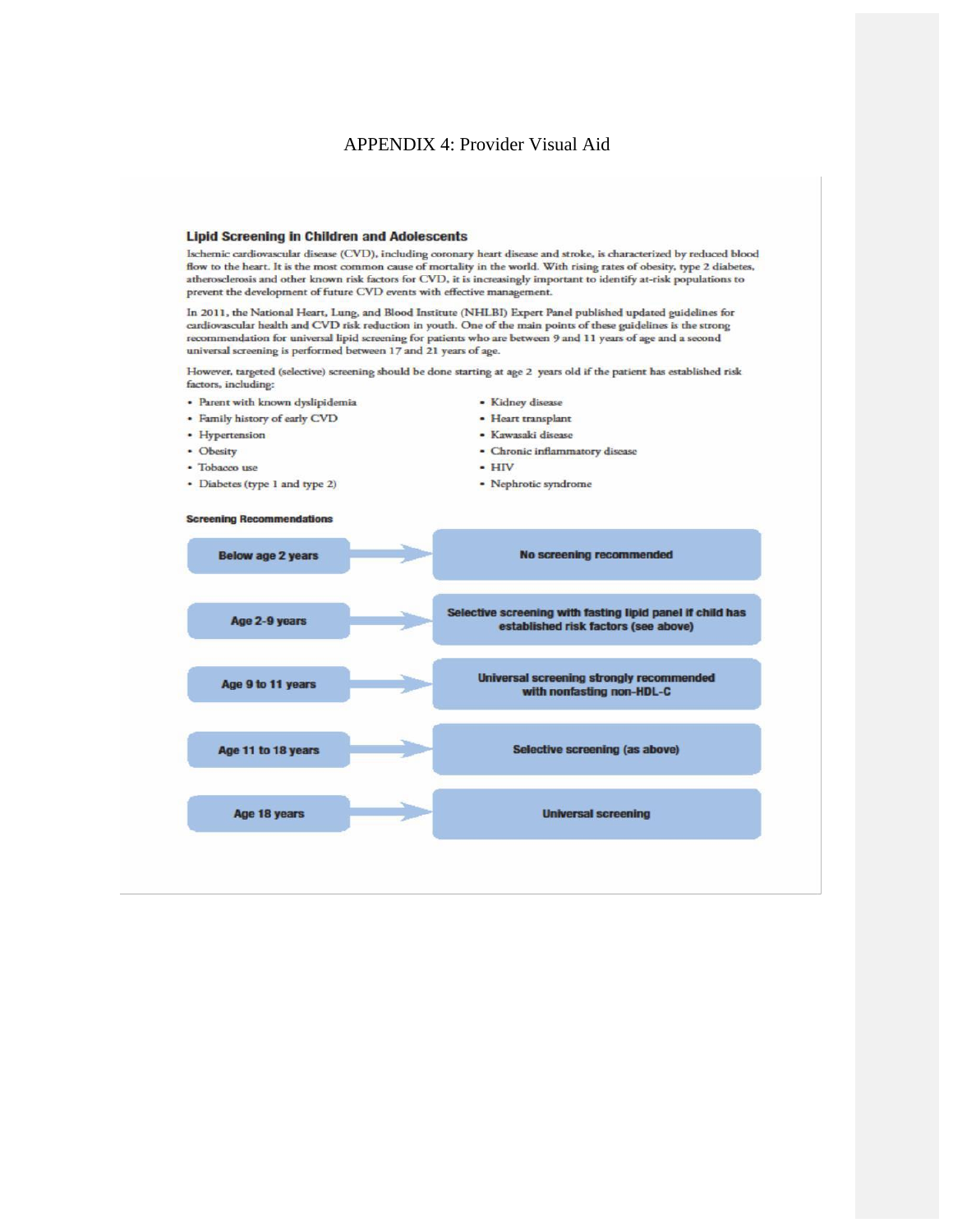#### APPENDIX 4: Provider Visual Aid

#### **Lipid Screening in Children and Adolescents**

Ischemic cardiovascular disease (CVD), including coronary heart disease and stroke, is characterized by reduced blood flow to the heart. It is the most common cause of mortality in the world. With rising rates of obesity, type 2 diabetes, atherosclerosis and other known risk factors for CVD, it is increasingly important to identify at-risk populations to prevent the development of future CVD events with effective management.

In 2011, the National Heart, Lung, and Blood Institute (NHLBI) Expert Panel published updated guidelines for cardiovascular health and CVD risk reduction in youth. One of the main points of these guidelines is the strong recommendation for universal lipid screening for patients who are between 9 and 11 years of age and a second universal screening is performed between 17 and 21 years of age.

However, targeted (selective) screening should be done starting at age 2 years old if the patient has established risk factors, including:

- · Parent with known dyslipidemia
- · Family history of early CVD
- Hypertension
- Obesity
- · Tobacco use
- Diabetes (type 1 and type 2)
- · Kidney disease
- · Heart transplant
- · Kawasaki disease
- · Chronic inflammatory disease
- $\cdot$  HIV
- Nephrotic syndrome



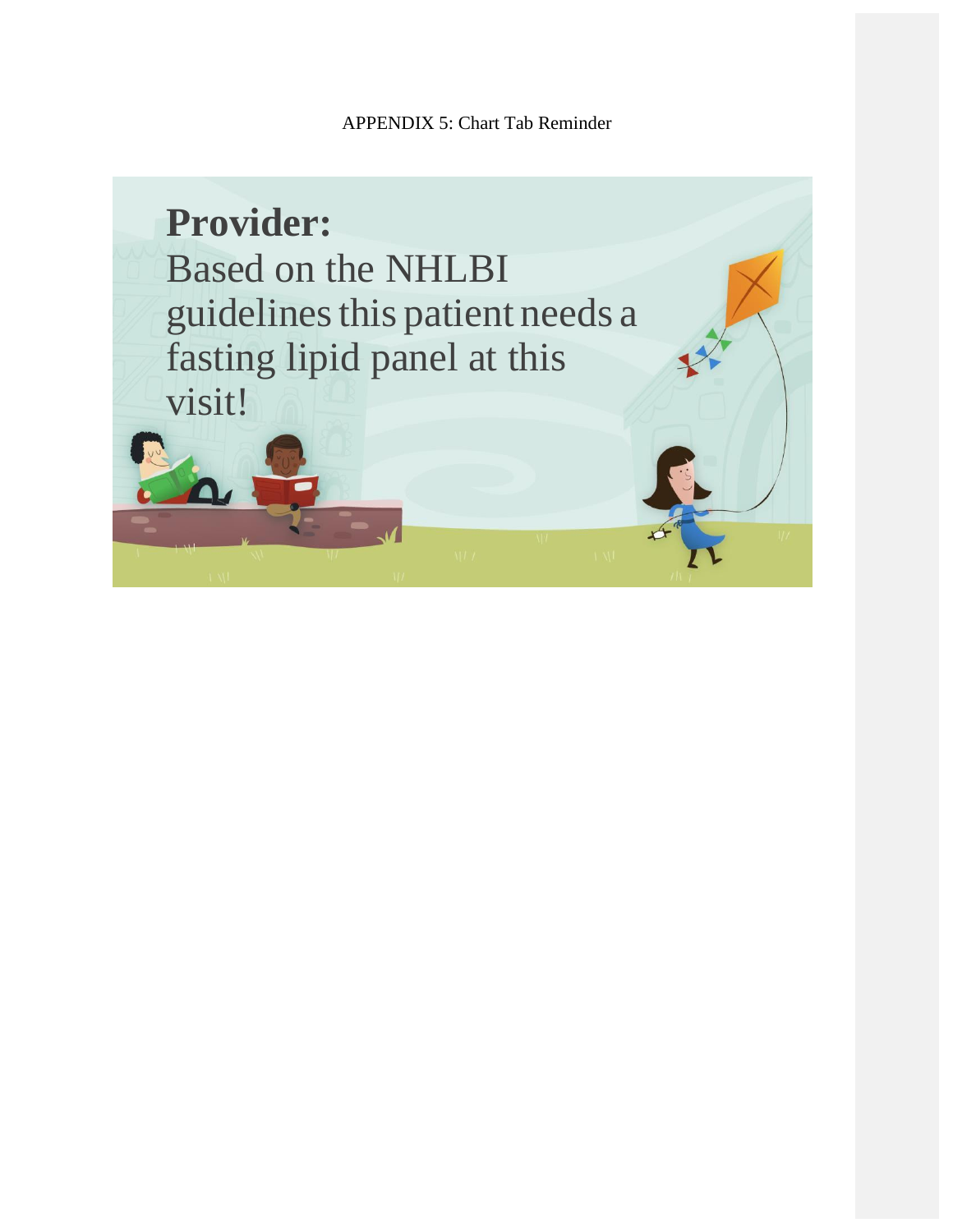APPENDIX 5: Chart Tab Reminder

**Provider:** Based on the NHLBI guidelines this patient needs a fasting lipid panel at this visit!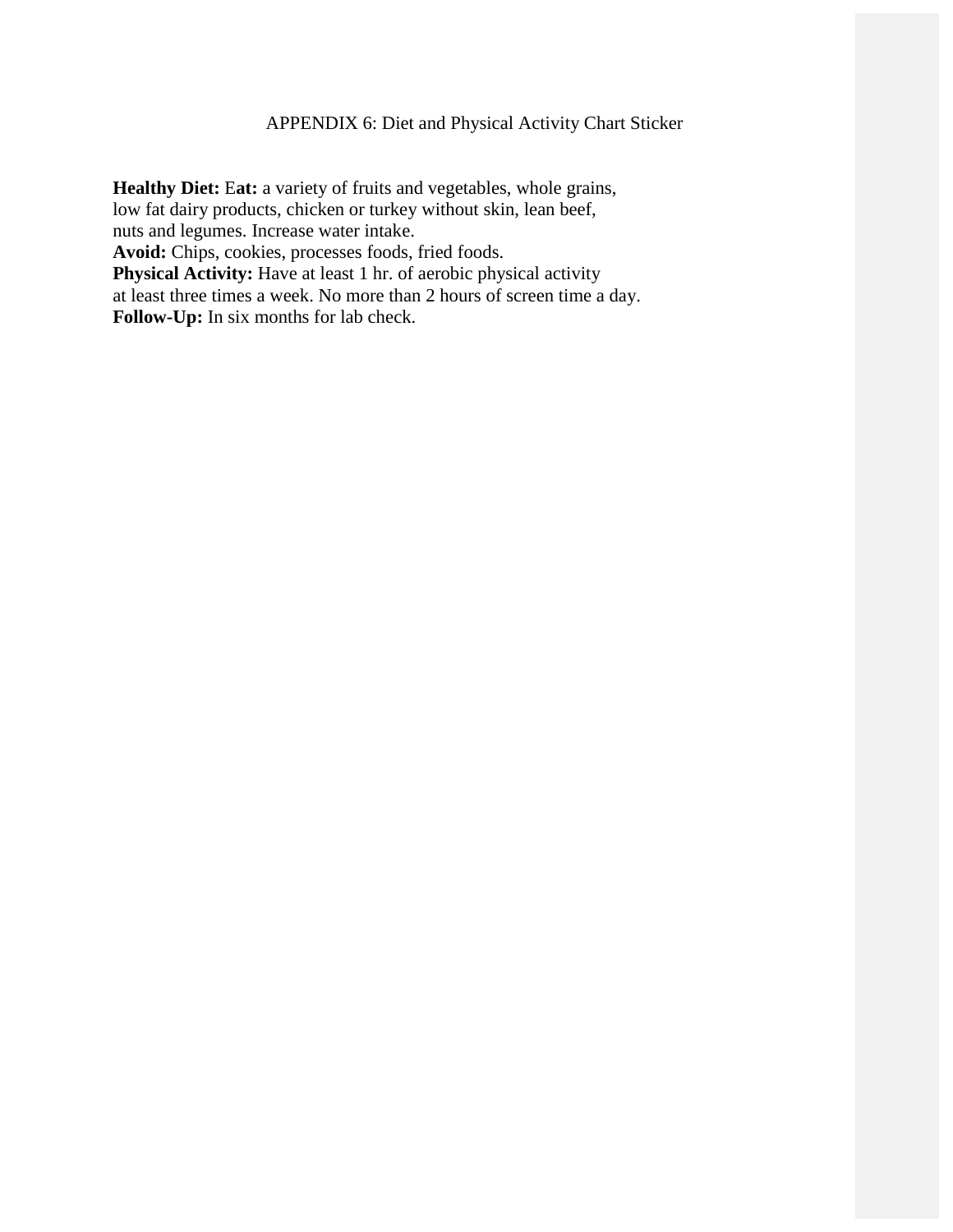## APPENDIX 6: Diet and Physical Activity Chart Sticker

**Healthy Diet:** E**at:** a variety of fruits and vegetables, whole grains, low fat dairy products, chicken or turkey without skin, lean beef, nuts and legumes. Increase water intake. **Avoid:** Chips, cookies, processes foods, fried foods. **Physical Activity:** Have at least 1 hr. of aerobic physical activity at least three times a week. No more than 2 hours of screen time a day. **Follow-Up:** In six months for lab check.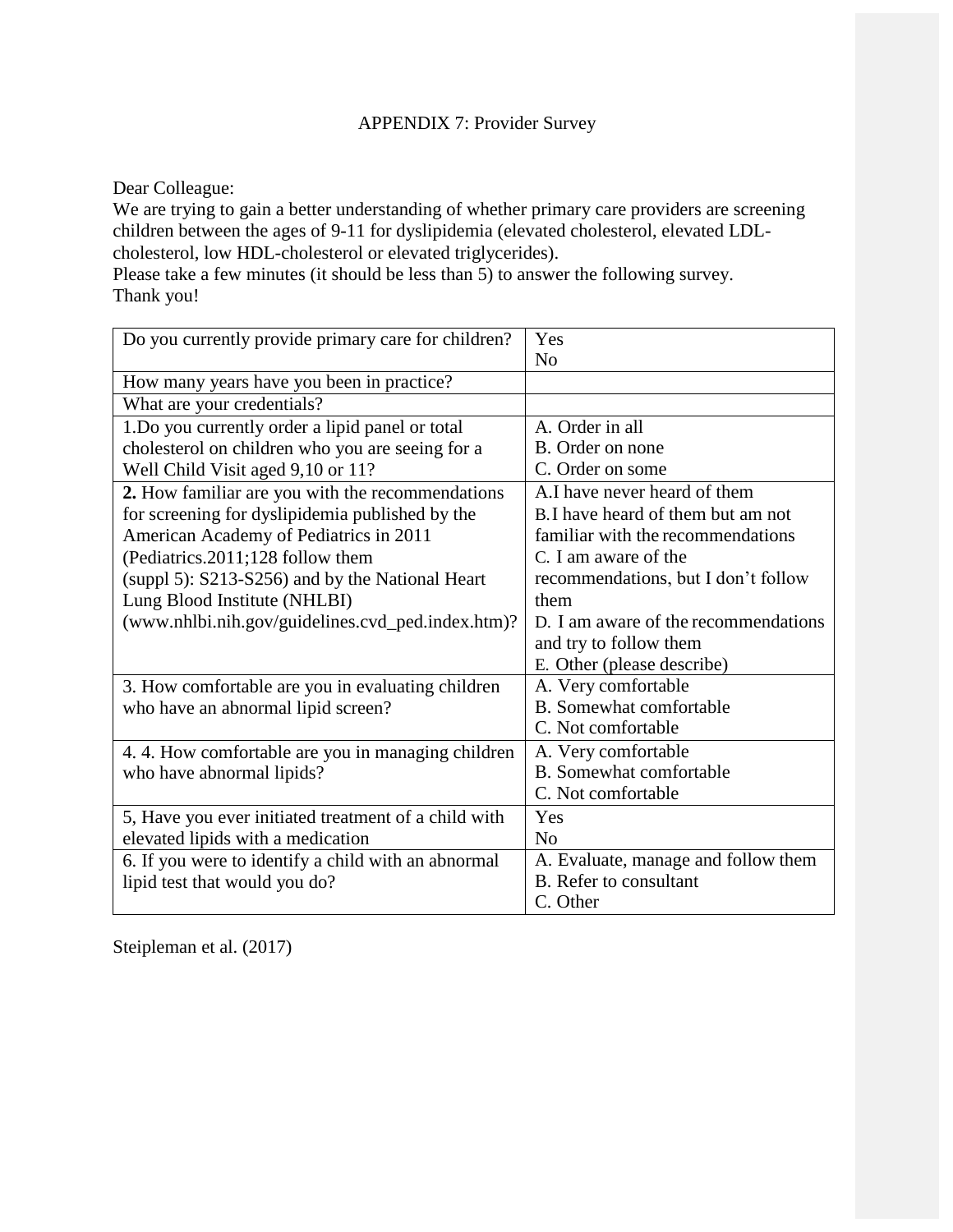### APPENDIX 7: Provider Survey

Dear Colleague:

We are trying to gain a better understanding of whether primary care providers are screening children between the ages of 9-11 for dyslipidemia (elevated cholesterol, elevated LDLcholesterol, low HDL-cholesterol or elevated triglycerides).

Please take a few minutes (it should be less than 5) to answer the following survey. Thank you!

| Do you currently provide primary care for children?  | Yes                                  |
|------------------------------------------------------|--------------------------------------|
|                                                      | N <sub>0</sub>                       |
| How many years have you been in practice?            |                                      |
| What are your credentials?                           |                                      |
| 1. Do you currently order a lipid panel or total     | A. Order in all                      |
| cholesterol on children who you are seeing for a     | B. Order on none                     |
| Well Child Visit aged 9,10 or 11?                    | C. Order on some                     |
| 2. How familiar are you with the recommendations     | A.I have never heard of them         |
| for screening for dyslipidemia published by the      | B. I have heard of them but am not   |
| American Academy of Pediatrics in 2011               | familiar with the recommendations    |
| (Pediatrics.2011;128 follow them                     | C. I am aware of the                 |
| (suppl 5): S213-S256) and by the National Heart      | recommendations, but I don't follow  |
| Lung Blood Institute (NHLBI)                         | them                                 |
| (www.nhlbi.nih.gov/guidelines.cvd_ped.index.htm)?    | D. I am aware of the recommendations |
|                                                      | and try to follow them               |
|                                                      | E. Other (please describe)           |
| 3. How comfortable are you in evaluating children    | A. Very comfortable                  |
| who have an abnormal lipid screen?                   | <b>B.</b> Somewhat comfortable       |
|                                                      | C. Not comfortable                   |
| 4.4. How comfortable are you in managing children    | A. Very comfortable                  |
| who have abnormal lipids?                            | <b>B.</b> Somewhat comfortable       |
|                                                      | C. Not comfortable                   |
| 5, Have you ever initiated treatment of a child with | Yes                                  |
| elevated lipids with a medication                    | N <sub>0</sub>                       |
| 6. If you were to identify a child with an abnormal  | A. Evaluate, manage and follow them  |
| lipid test that would you do?                        | B. Refer to consultant               |
|                                                      | C. Other                             |

Steipleman et al. (2017)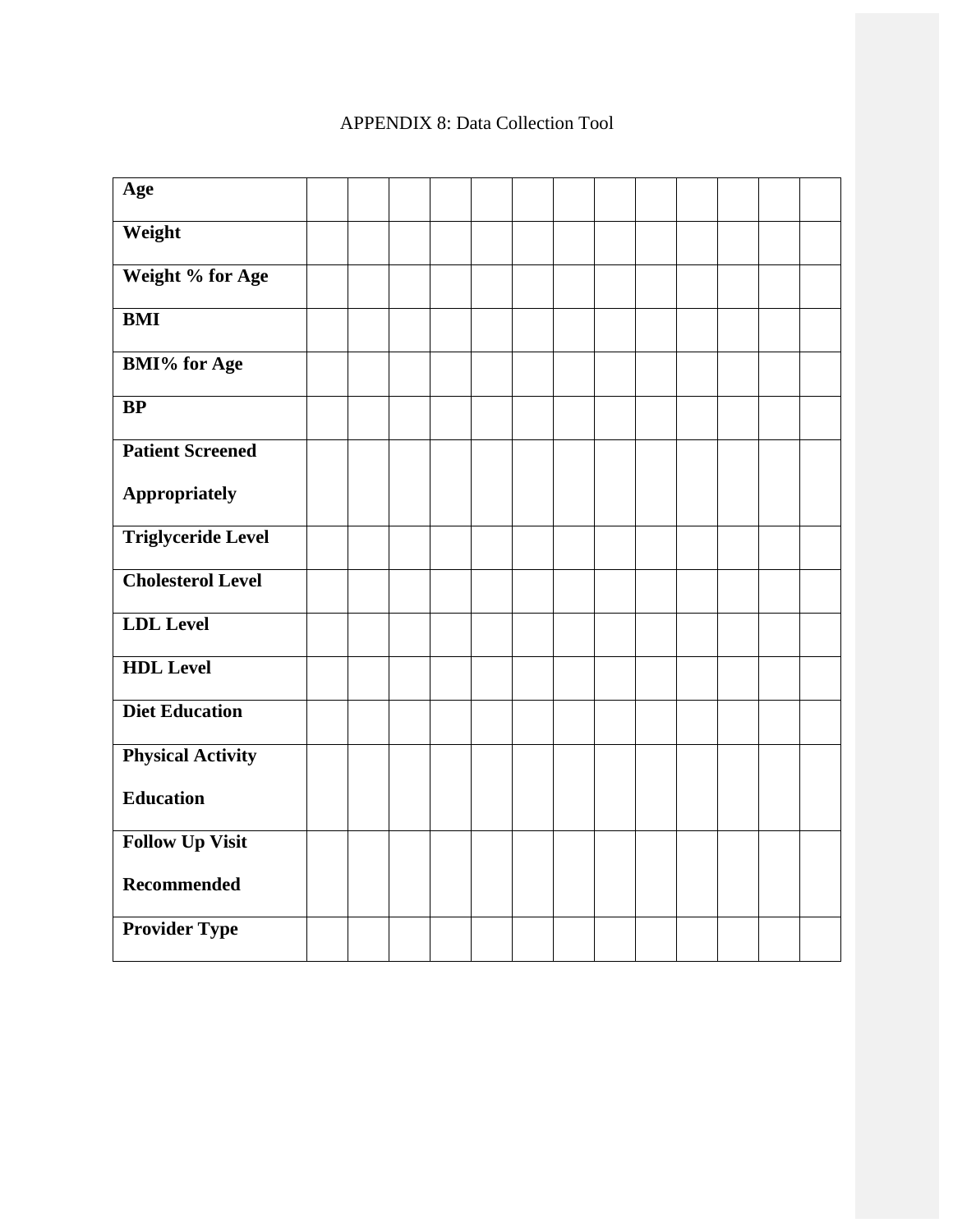# APPENDIX 8: Data Collection Tool

| Age                       |  |  |  |  |  |  |  |
|---------------------------|--|--|--|--|--|--|--|
| Weight                    |  |  |  |  |  |  |  |
| Weight % for Age          |  |  |  |  |  |  |  |
| <b>BMI</b>                |  |  |  |  |  |  |  |
| <b>BMI%</b> for Age       |  |  |  |  |  |  |  |
| BP                        |  |  |  |  |  |  |  |
| <b>Patient Screened</b>   |  |  |  |  |  |  |  |
| Appropriately             |  |  |  |  |  |  |  |
| <b>Triglyceride Level</b> |  |  |  |  |  |  |  |
| <b>Cholesterol Level</b>  |  |  |  |  |  |  |  |
| <b>LDL</b> Level          |  |  |  |  |  |  |  |
| <b>HDL</b> Level          |  |  |  |  |  |  |  |
| <b>Diet Education</b>     |  |  |  |  |  |  |  |
| <b>Physical Activity</b>  |  |  |  |  |  |  |  |
| <b>Education</b>          |  |  |  |  |  |  |  |
| <b>Follow Up Visit</b>    |  |  |  |  |  |  |  |
| Recommended               |  |  |  |  |  |  |  |
| <b>Provider Type</b>      |  |  |  |  |  |  |  |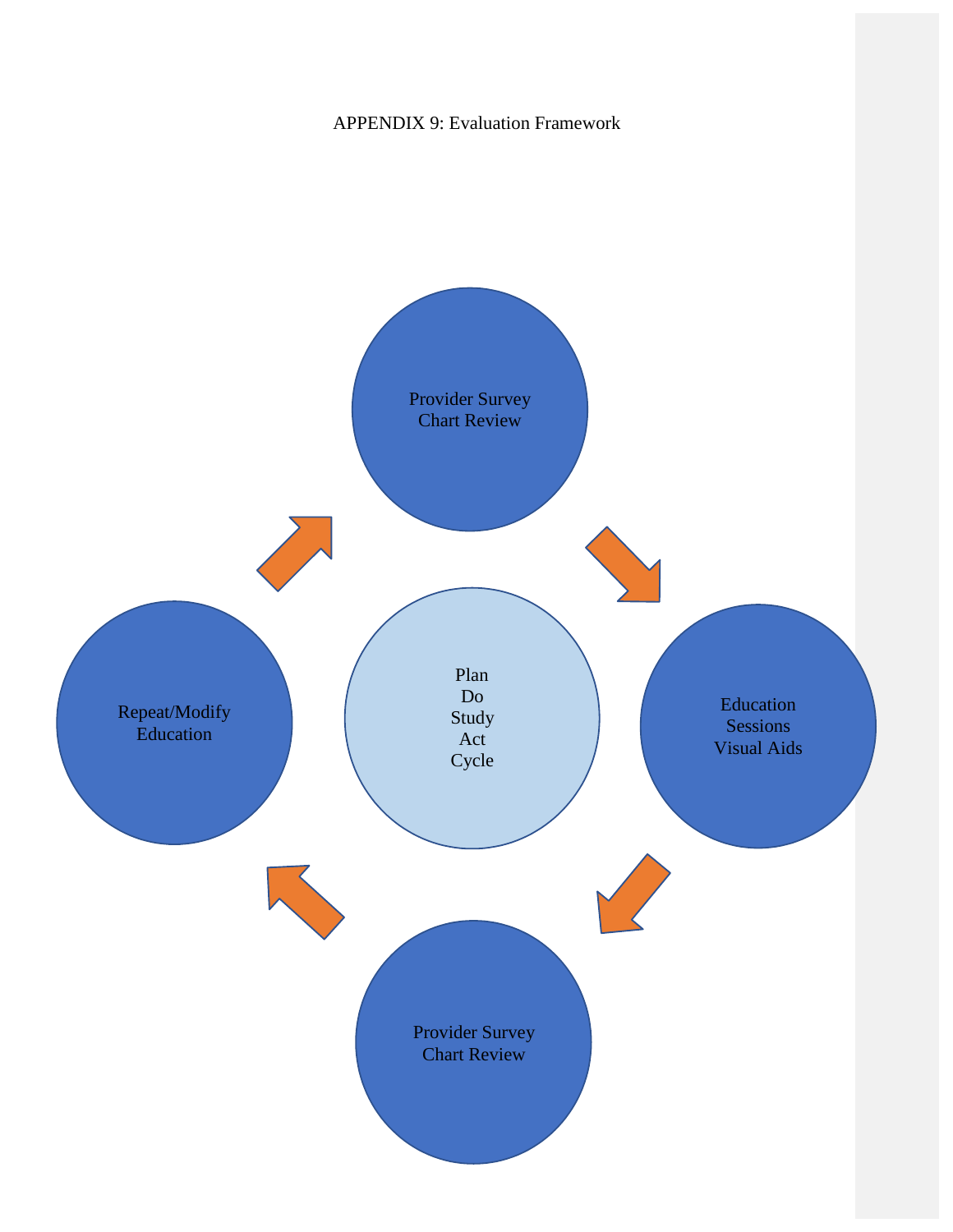APPENDIX 9: Evaluation Framework

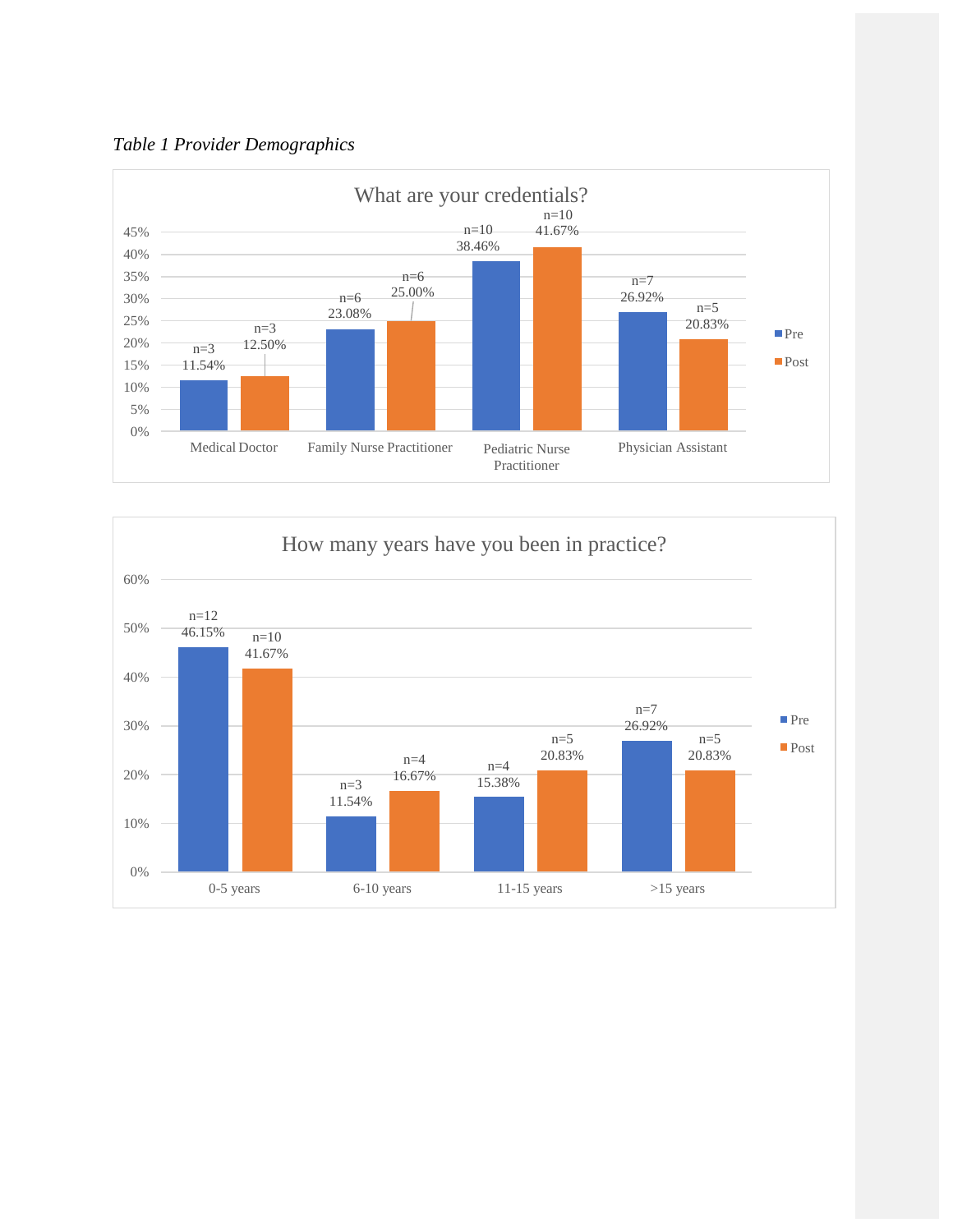



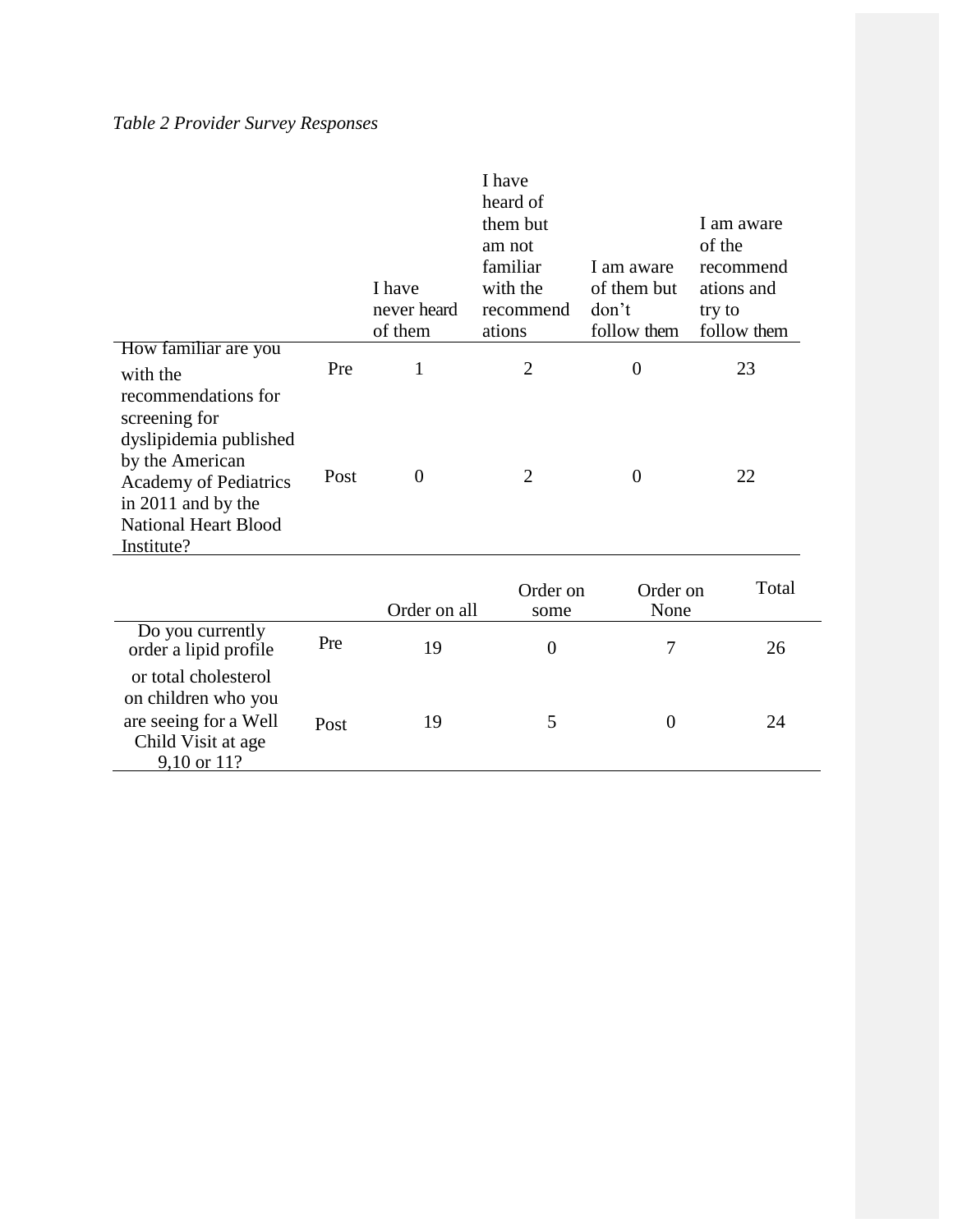# *Table 2 Provider Survey Responses*

|                                                                                                                                                                                      |      | I have<br>never heard<br>of them | I have<br>heard of<br>them but<br>am not<br>familiar<br>with the<br>recommend<br>ations | I am aware<br>of them but<br>don't<br>follow them | I am aware<br>of the<br>recommend<br>ations and<br>try to<br>follow them |
|--------------------------------------------------------------------------------------------------------------------------------------------------------------------------------------|------|----------------------------------|-----------------------------------------------------------------------------------------|---------------------------------------------------|--------------------------------------------------------------------------|
| How familiar are you<br>with the                                                                                                                                                     | Pre  | 1                                | $\overline{2}$                                                                          | 0                                                 | 23                                                                       |
| recommendations for<br>screening for<br>dyslipidemia published<br>by the American<br><b>Academy of Pediatrics</b><br>in 2011 and by the<br><b>National Heart Blood</b><br>Institute? | Post | $\theta$                         | $\overline{2}$                                                                          | $\boldsymbol{0}$                                  | 22                                                                       |
|                                                                                                                                                                                      |      |                                  | Order on                                                                                | Order on                                          | Total                                                                    |
|                                                                                                                                                                                      |      | Order on all                     | some                                                                                    | None                                              |                                                                          |
| Do you currently<br>order a lipid profile                                                                                                                                            | Pre  | 19                               | $\boldsymbol{0}$                                                                        | 7                                                 | 26                                                                       |
| or total cholesterol<br>on children who you<br>are seeing for a Well<br>Child Visit at age<br>$9,10 \text{ or } 11?$                                                                 | Post | 19                               | 5                                                                                       | $\boldsymbol{0}$                                  | 24                                                                       |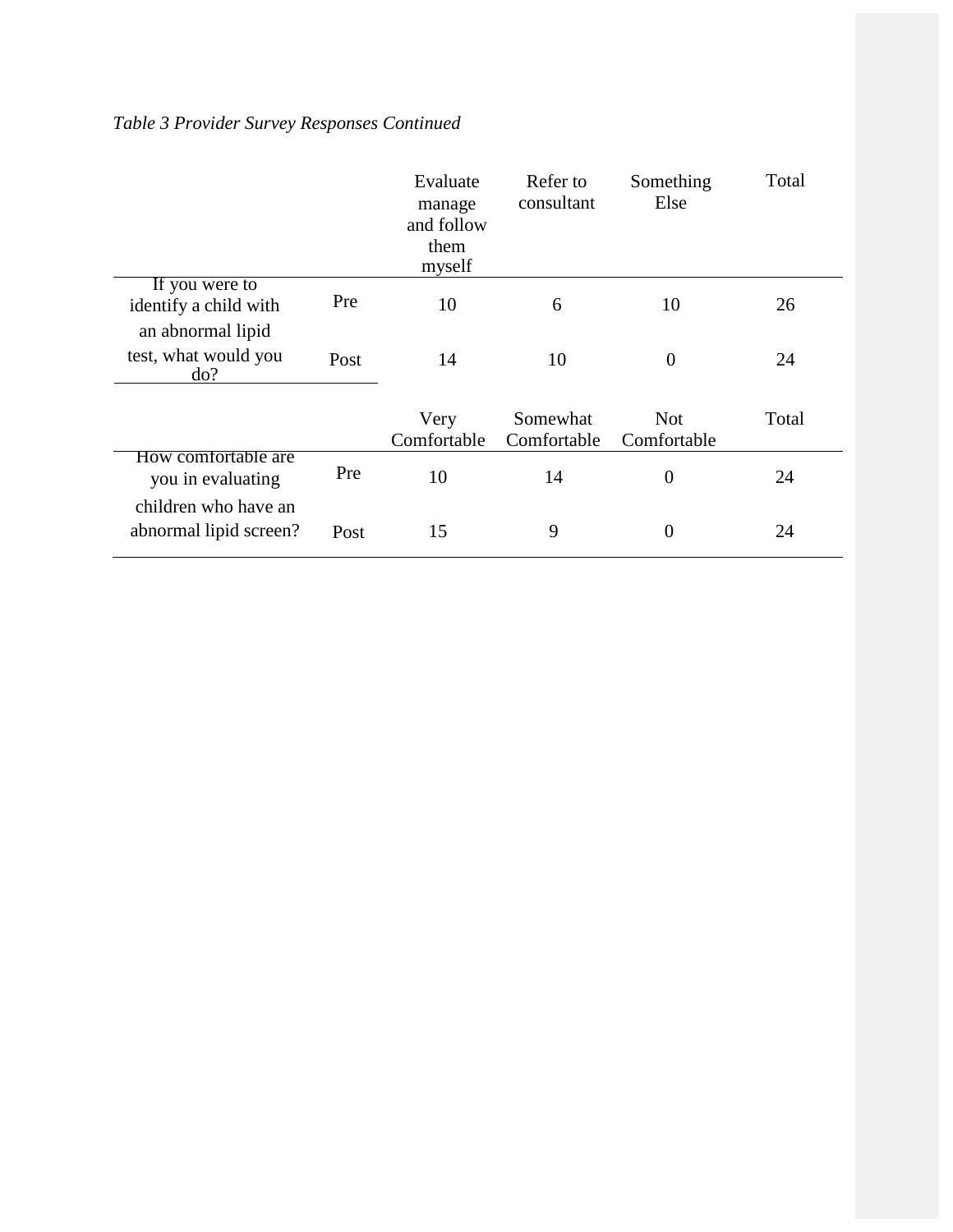# *Table 3 Provider Survey Responses Continued*

|                                                              |      | Evaluate<br>manage<br>and follow<br>them<br>myself | Refer to<br>consultant  | Something<br>Else         | Total |
|--------------------------------------------------------------|------|----------------------------------------------------|-------------------------|---------------------------|-------|
| If you were to<br>identify a child with<br>an abnormal lipid | Pre  | 10                                                 | 6                       | 10                        | 26    |
| test, what would you<br>do?                                  | Post | 14                                                 | 10                      | $\overline{0}$            | 24    |
|                                                              |      | Very<br>Comfortable                                | Somewhat<br>Comfortable | <b>Not</b><br>Comfortable | Total |
| How comfortable are<br>you in evaluating                     | Pre  | 10                                                 | 14                      | $\theta$                  | 24    |
| children who have an<br>abnormal lipid screen?               | Post | 15                                                 | 9                       | $\boldsymbol{0}$          | 24    |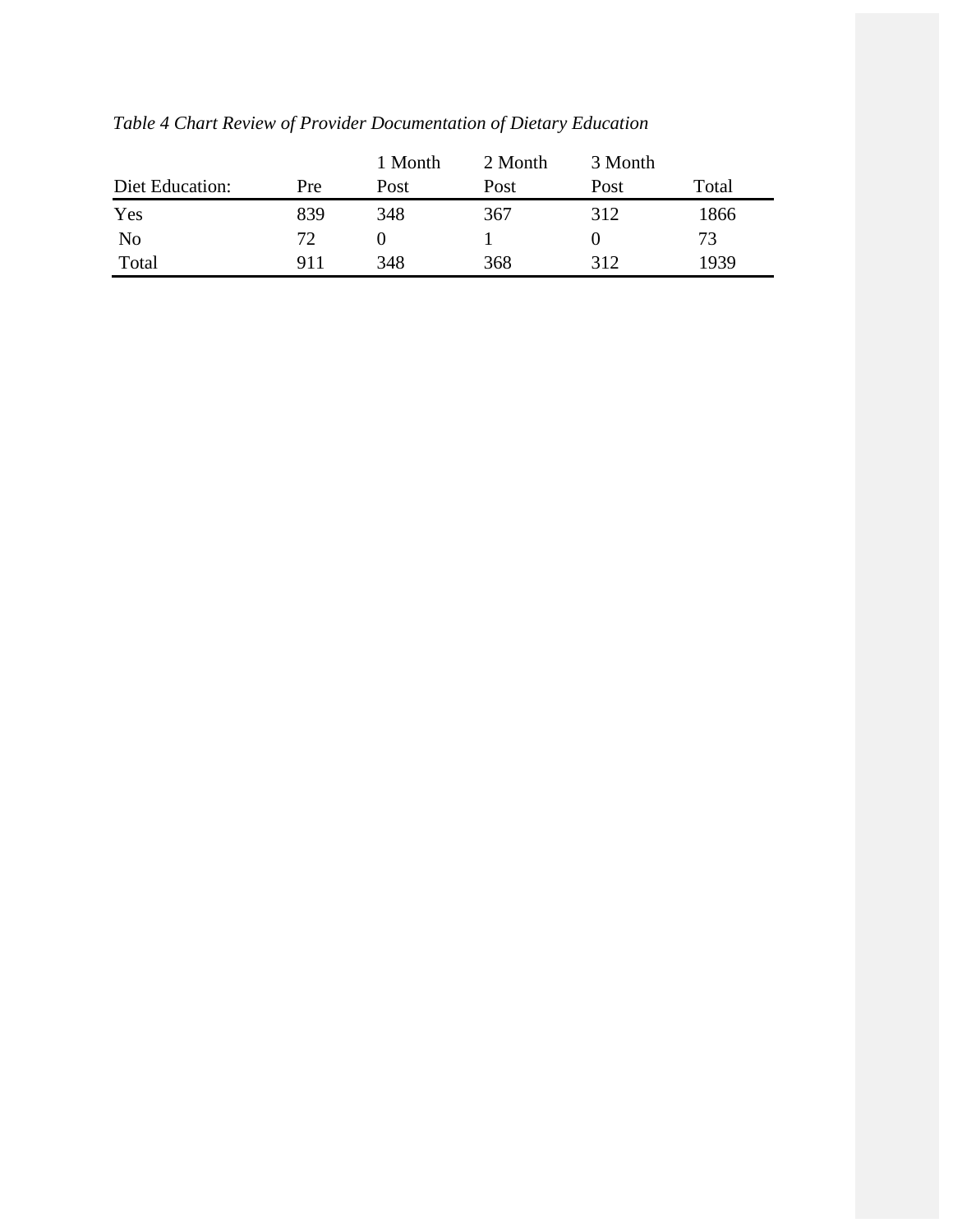| Diet Education: | Pre | 1 Month<br>Post | 2 Month<br>Post | 3 Month<br>Post | Total |
|-----------------|-----|-----------------|-----------------|-----------------|-------|
| Yes             | 839 | 348             | 367             | 312             | 1866  |
| N <sub>0</sub>  | 72  |                 |                 |                 | 73    |
| Total           | 911 | 348             | 368             | 312             | 1939  |

*Table 4 Chart Review of Provider Documentation of Dietary Education*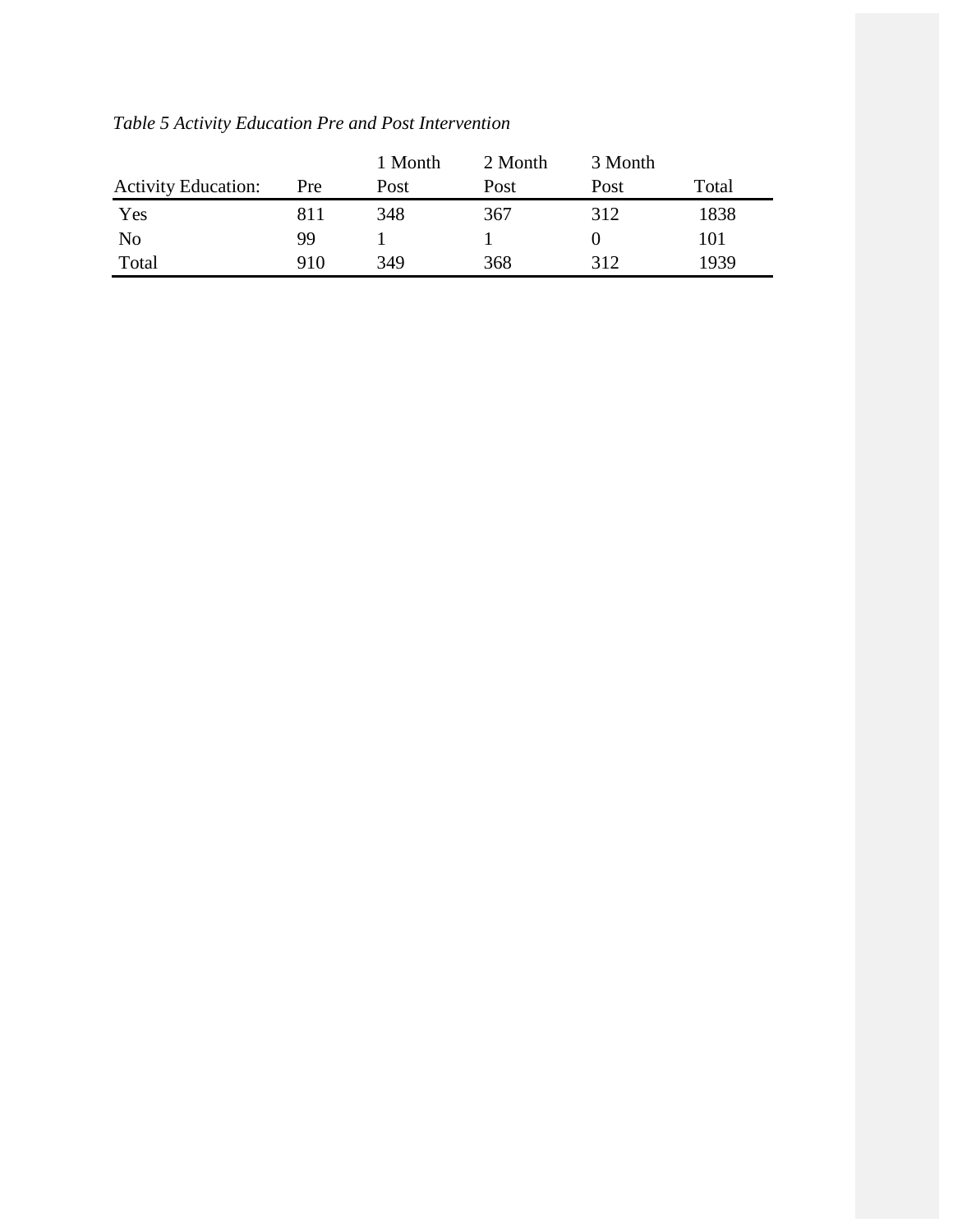|                            |            | 1 Month | 2 Month | 3 Month |       |
|----------------------------|------------|---------|---------|---------|-------|
| <b>Activity Education:</b> | <b>Pre</b> | Post    | Post    | Post    | Total |
| Yes                        | 811        | 348     | 367     | 312     | 1838  |
| N <sub>0</sub>             | 99         |         |         |         | 101   |
| Total                      | 910        | 349     | 368     | 312     | 1939  |

*Table 5 Activity Education Pre and Post Intervention*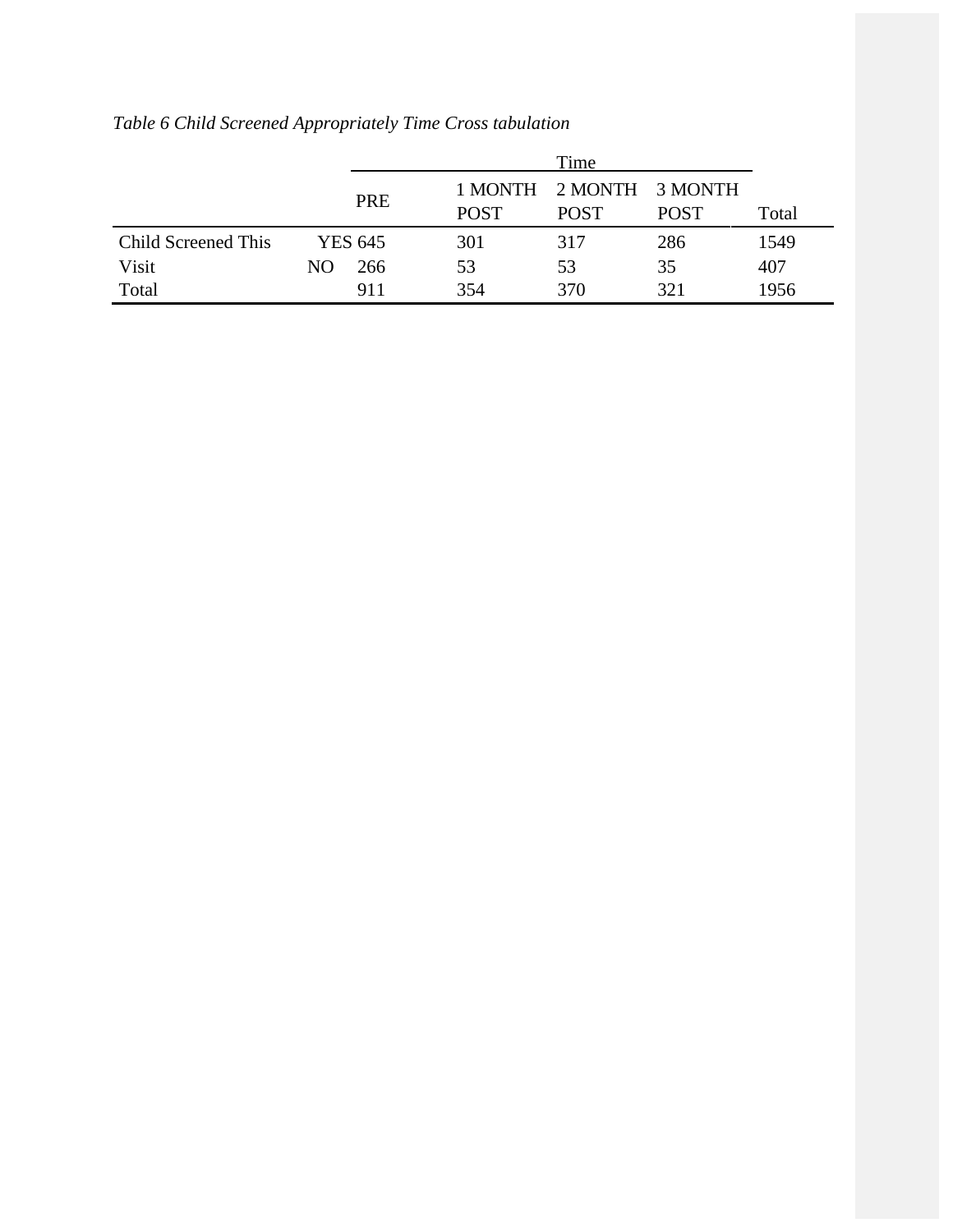|                     |     |                |             | Time                                   |             |       |
|---------------------|-----|----------------|-------------|----------------------------------------|-------------|-------|
|                     |     | <b>PRE</b>     | <b>POST</b> | 1 MONTH 2 MONTH 3 MONTH<br><b>POST</b> | <b>POST</b> | Total |
| Child Screened This |     | <b>YES 645</b> | 301         | 317                                    | 286         | 1549  |
| Visit               | NO. | 266            | 53          | 53                                     | 35          | 407   |
| Total               |     | 911            | 354         | 370                                    | 321         | 1956  |

*Table 6 Child Screened Appropriately Time Cross tabulation*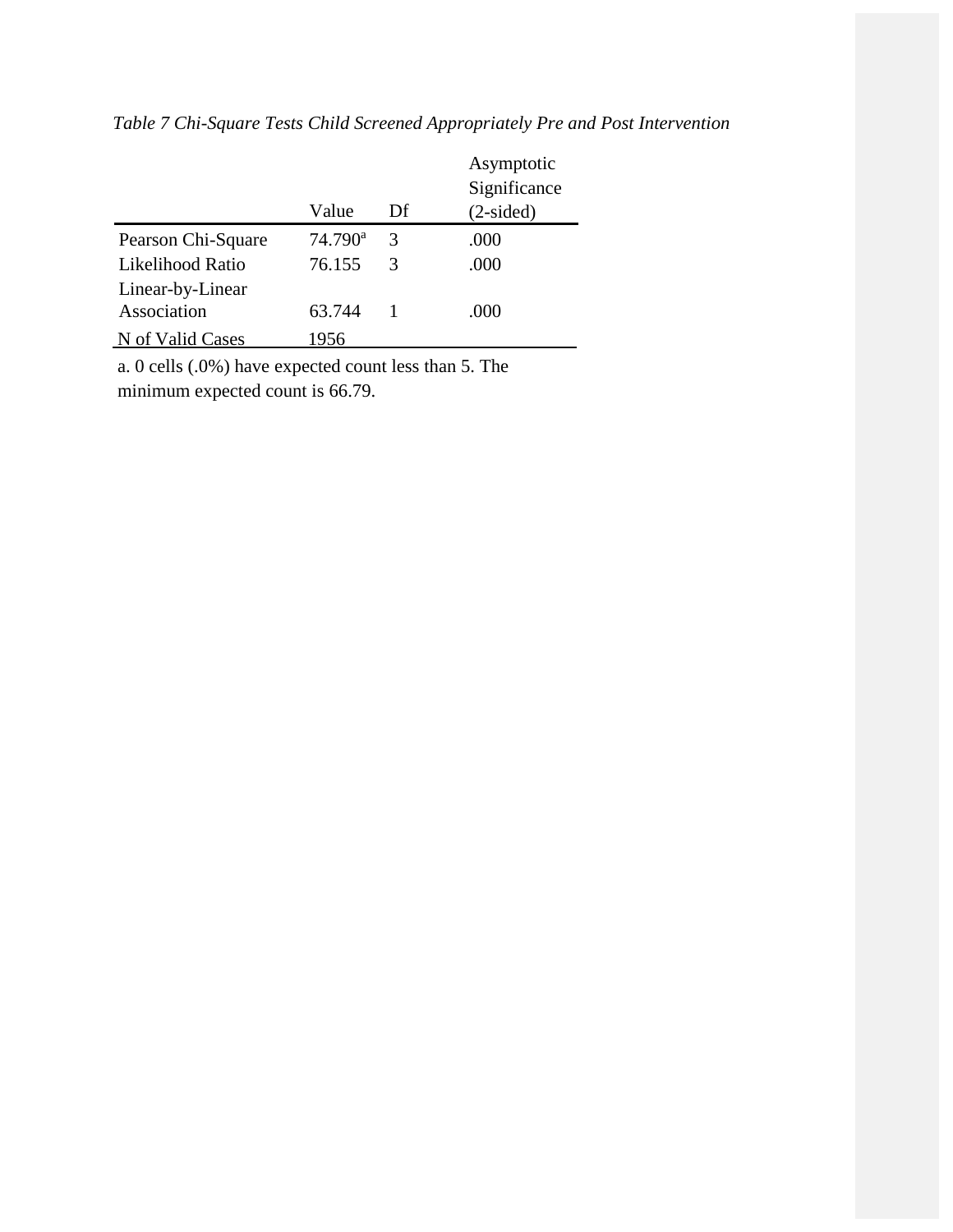|                    |                  |               | Asymptotic   |
|--------------------|------------------|---------------|--------------|
|                    |                  |               | Significance |
|                    | Value            | Df            | $(2-sided)$  |
| Pearson Chi-Square | $74.790^{\rm a}$ | 3             | .000         |
| Likelihood Ratio   | 76.155           | $\mathcal{R}$ | .000         |
| Linear-by-Linear   |                  |               |              |
| Association        | 63.744           |               | .000         |
| N of Valid Cases   | 1956             |               |              |

*Table 7 Chi-Square Tests Child Screened Appropriately Pre and Post Intervention*

a. 0 cells (.0%) have expected count less than 5. The minimum expected count is 66.79.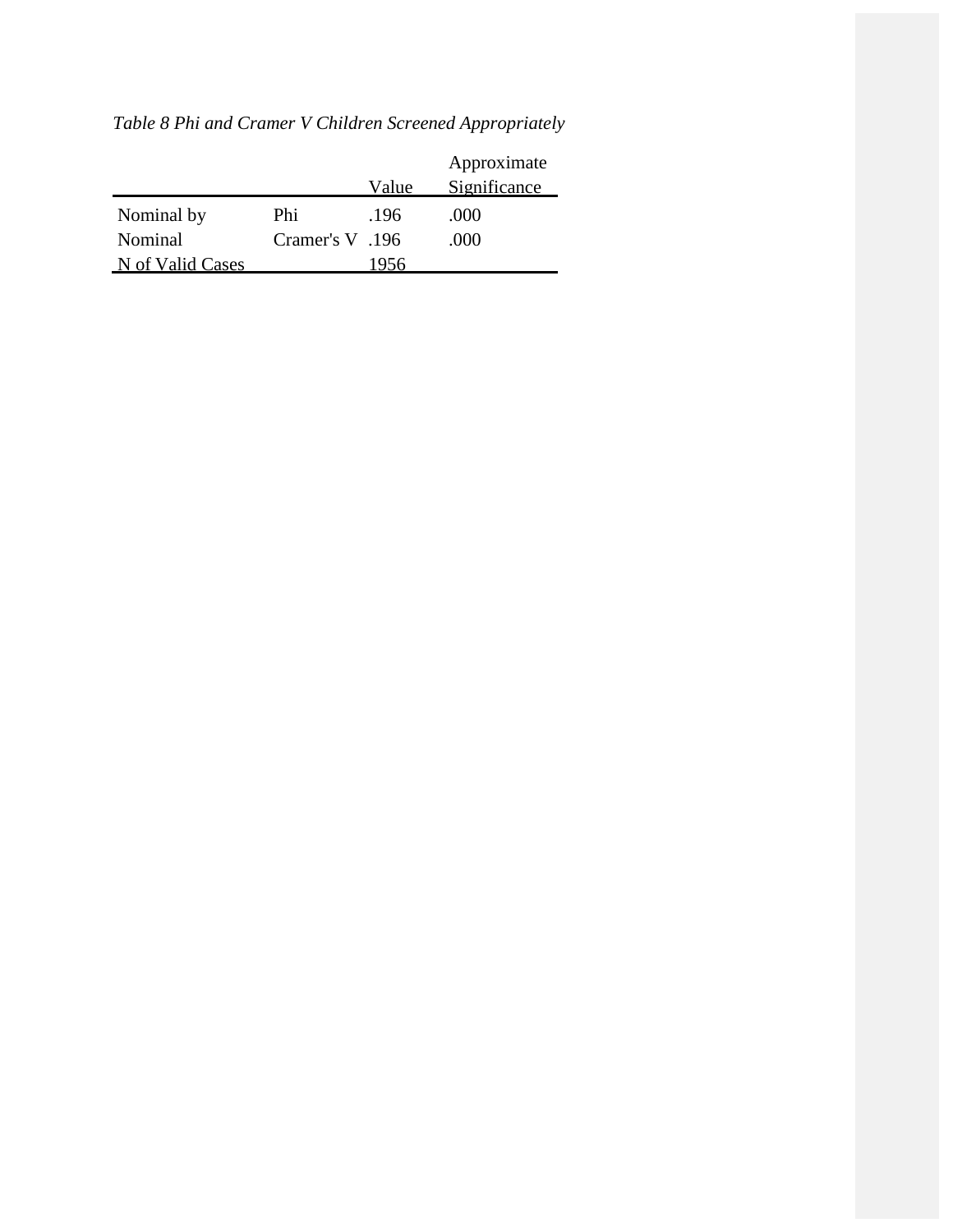|                  |                 |       | Approximate  |
|------------------|-----------------|-------|--------------|
|                  |                 | Value | Significance |
| Nominal by       | Phi             | .196  | .000         |
| Nominal          | 196. Cramer's V |       | .000         |
| N of Valid Cases |                 | 1956  |              |

*Table 8 Phi and Cramer V Children Screened Appropriately*